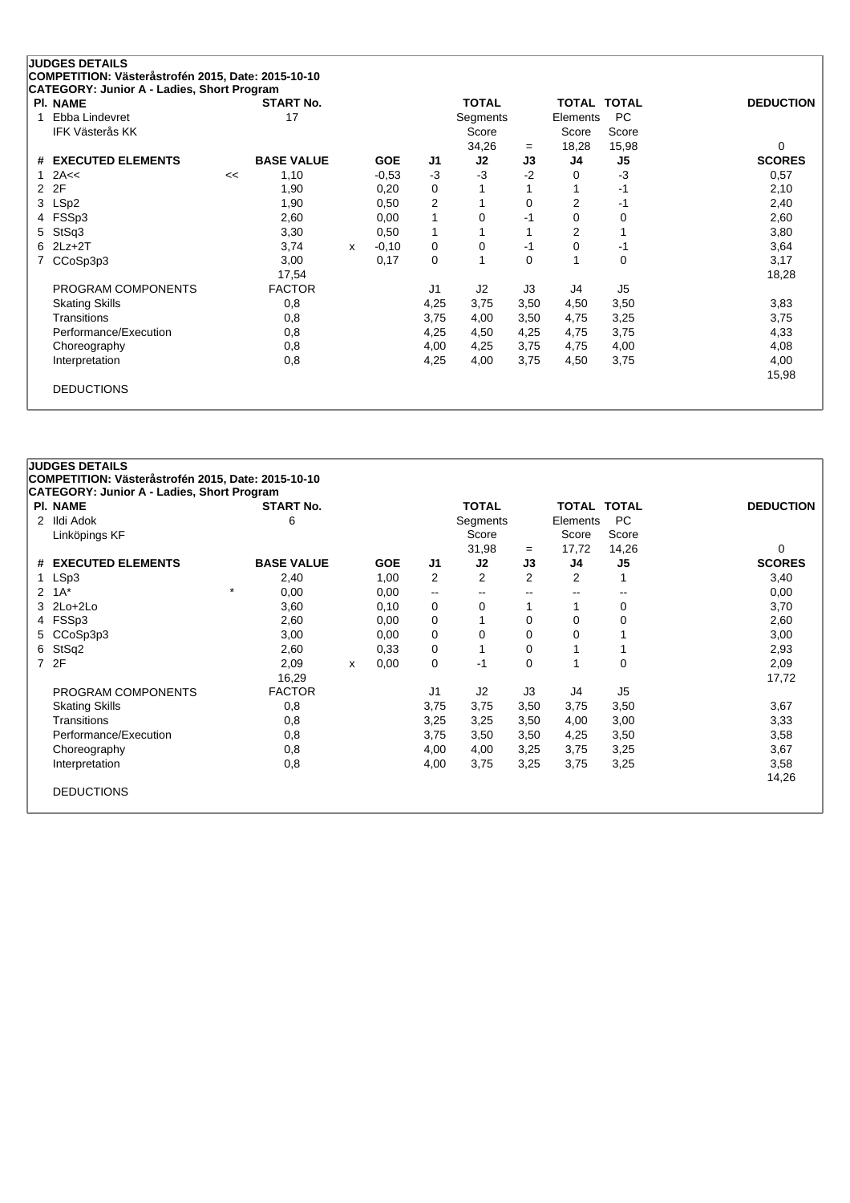| <b>PI. NAME</b>        |    | <b>START No.</b>  |              |            |                | <b>TOTAL</b> |                | <b>TOTAL TOTAL</b> |                | <b>DEDUCTION</b> |
|------------------------|----|-------------------|--------------|------------|----------------|--------------|----------------|--------------------|----------------|------------------|
| Ebba Lindevret<br>1    |    | 17                |              |            |                | Segments     |                | Elements           | <b>PC</b>      |                  |
| <b>IFK Västerås KK</b> |    |                   |              |            |                | Score        |                | Score              | Score          |                  |
|                        |    |                   |              |            |                | 34,26        | $=$            | 18,28              | 15,98          | 0                |
| # EXECUTED ELEMENTS    |    | <b>BASE VALUE</b> |              | <b>GOE</b> | J1             | J2           | J3             | J4                 | J5             | <b>SCORES</b>    |
| 2A<<                   | << | 1,10              |              | $-0,53$    | $-3$           | $-3$         | $-2$           | 0                  | $-3$           | 0,57             |
| 2F<br>2                |    | 1,90              |              | 0,20       | 0              |              |                |                    | $-1$           | 2,10             |
| LSp2<br>3              |    | 1,90              |              | 0,50       | $\overline{2}$ |              | 0              | 2                  | $-1$           | 2,40             |
| FSSp3                  |    | 2,60              |              | 0,00       | 1              | 0            | -1             | 0                  | 0              | 2,60             |
| StSq3<br>5             |    | 3,30              |              | 0,50       | 1              |              |                | 2                  | 1              | 3,80             |
| $2Lz+2T$<br>6          |    | 3,74              | $\mathsf{x}$ | $-0,10$    | 0              | 0            | -1             | 0                  | $-1$           | 3,64             |
| CCoSp3p3               |    | 3,00              |              | 0,17       | 0              |              | 0              | 1                  | 0              | 3,17             |
|                        |    | 17,54             |              |            |                |              |                |                    |                | 18,28            |
| PROGRAM COMPONENTS     |    | <b>FACTOR</b>     |              |            | J <sub>1</sub> | J2           | J <sub>3</sub> | J4                 | J <sub>5</sub> |                  |
| <b>Skating Skills</b>  |    | 0,8               |              |            | 4,25           | 3,75         | 3,50           | 4,50               | 3,50           | 3,83             |
| Transitions            |    | 0,8               |              |            | 3,75           | 4,00         | 3,50           | 4,75               | 3,25           | 3,75             |
| Performance/Execution  |    | 0,8               |              |            | 4,25           | 4,50         | 4,25           | 4,75               | 3,75           | 4,33             |
| Choreography           |    | 0,8               |              |            | 4,00           | 4,25         | 3,75           | 4,75               | 4,00           | 4,08             |
| Interpretation         |    | 0,8               |              |            | 4,25           | 4,00         | 3,75           | 4,50               | 3,75           | 4,00             |
|                        |    |                   |              |            |                |              |                |                    |                | 15,98            |

# **JUDGES DETAILS COMPETITION: Västeråstrofén 2015, Date: 2015-10-10 CATEGORY: Junior A - Ladies, Short Program Pl. NAME START No. TOTAL TOTAL TOTAL DEDUCTION** 2 Ildi Adok 6 Segments Elements PC Linköpings KF Score Score Score Score Score Score Score Score Score Score Score Score Score Score Score Score  $31,98 = 17,72 \quad 14,26$  0 **# EXECUTED ELEMENTS BASE VALUE GOE J1 J2 J3 J4 J5 SCORES** 1 LSp3 2,40 1,00 2 2 2 2 1 3,40 2 1A\* \* 0,00 0,00 -- -- -- -- -- 0,00 3 2Lo+2Lo 3,60 0,10 0 0 1 1 0 3,70 4 FSSp3 2,60 0,00 0 1 0 0 0 2,60 5 CCoSp3p3 3,00 3,00 0,00 0 0 0 0 1 3,00 6 StSq2 2,60 0,33 0 1 0 1 1 2,93 7 2F 2,09 <sup>x</sup> 0,00 0 -1 0 1 0 2,09 16,29 17,72 PROGRAM COMPONENTS FACTOR J1 J2 J3 J4 J5 Skating Skills 0,8 3,75 3,75 3,50 3,75 3,50 3,67 Transitions 0,8 3,25 3,25 3,50 4,00 3,00 3,33 Performance/Execution 0,8 0,8 3,75 3,50 3,50 4,25 3,50 3,50 3,58 3,58 Choreography 0,8 4,00 4,00 3,25 3,75 3,25 3,67 Interpretation 0,8 4,00 3,75 3,25 3,75 3,25 3,58 14,26 DEDUCTIONS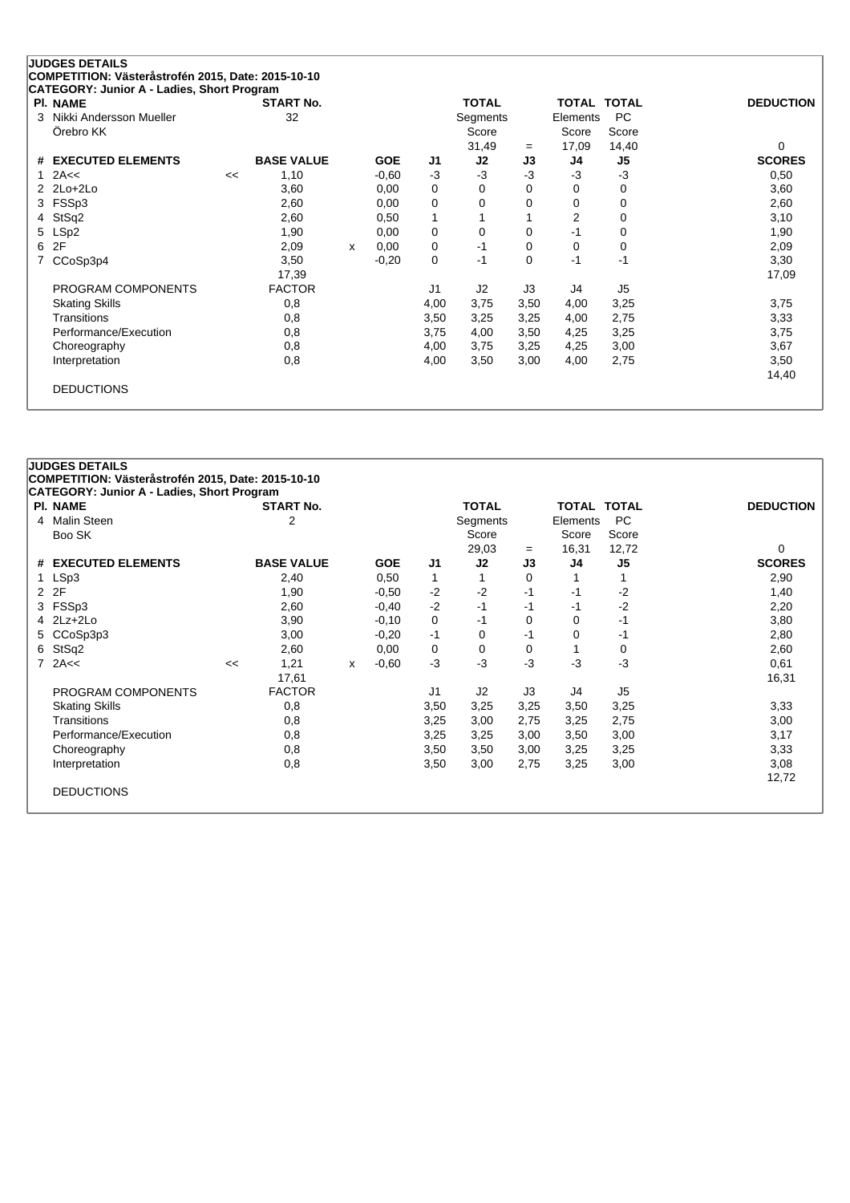| <b>PI. NAME</b>              |    | <b>START No.</b>  |   |            |                | <b>TOTAL</b> |      | <b>TOTAL</b>   | <b>TOTAL</b>   | <b>DEDUCTION</b> |
|------------------------------|----|-------------------|---|------------|----------------|--------------|------|----------------|----------------|------------------|
| Nikki Andersson Mueller<br>3 |    | 32                |   |            |                | Segments     |      | Elements       | <b>PC</b>      |                  |
| Örebro KK                    |    |                   |   |            |                | Score        |      | Score          | Score          |                  |
|                              |    |                   |   |            |                | 31,49        | $=$  | 17,09          | 14,40          | 0                |
| # EXECUTED ELEMENTS          |    | <b>BASE VALUE</b> |   | <b>GOE</b> | J1             | J2           | J3   | J4             | J5             | <b>SCORES</b>    |
| 2A<<                         | << | 1,10              |   | $-0.60$    | $-3$           | $-3$         | $-3$ | $-3$           | $-3$           | 0,50             |
| $2$ $2$ Lo+ $2$ Lo           |    | 3,60              |   | 0,00       | 0              | 0            | 0    | 0              | 0              | 3,60             |
| 3 FSSp3                      |    | 2,60              |   | 0,00       | 0              | 0            | 0    | 0              | 0              | 2,60             |
| StSq2<br>4                   |    | 2,60              |   | 0,50       | $\mathbf{1}$   |              |      | $\overline{2}$ | 0              | 3,10             |
| 5 LSp2                       |    | 1,90              |   | 0,00       | 0              | 0            | 0    | $-1$           | 0              | 1,90             |
| 2F<br>6                      |    | 2,09              | x | 0,00       | 0              | $-1$         | 0    | 0              | 0              | 2,09             |
| CCoSp3p4                     |    | 3,50              |   | $-0,20$    | 0              | $-1$         | 0    | $-1$           | -1             | 3,30             |
|                              |    | 17,39             |   |            |                |              |      |                |                | 17,09            |
| PROGRAM COMPONENTS           |    | <b>FACTOR</b>     |   |            | J <sub>1</sub> | J2           | J3   | J4             | J <sub>5</sub> |                  |
| <b>Skating Skills</b>        |    | 0,8               |   |            | 4,00           | 3,75         | 3,50 | 4,00           | 3,25           | 3,75             |
| <b>Transitions</b>           |    | 0,8               |   |            | 3,50           | 3,25         | 3,25 | 4,00           | 2,75           | 3,33             |
| Performance/Execution        |    | 0,8               |   |            | 3,75           | 4,00         | 3,50 | 4,25           | 3,25           | 3,75             |
| Choreography                 |    | 0,8               |   |            | 4,00           | 3,75         | 3,25 | 4,25           | 3,00           | 3,67             |
| Interpretation               |    | 0,8               |   |            | 4,00           | 3,50         | 3,00 | 4,00           | 2,75           | 3,50             |
|                              |    |                   |   |            |                |              |      |                |                | 14,40            |

# **JUDGES DETAILS COMPETITION: Västeråstrofén 2015, Date: 2015-10-10 CATEGORY: Junior A - Ladies, Short Program Pl. NAME START No. TOTAL TOTAL TOTAL DEDUCTION** 4 Malin Steen 2 2 2 Segments Elements PC<br>Boo SK 3 Score 2 3 Segments Elements PC Boo SK Score Score Score 29,03 <sup>=</sup> 16,31 12,72 0 **# EXECUTED ELEMENTS BASE VALUE GOE J1 J2 J3 J4 J5 SCORES** 1 LSp3 2,40 0,50 1 1 0 1 1 2,90 2 2F 1,90 -0,50 -2 -2 -1 -1 -2 1,40 3 FSSp3 2,60 -0,40 -2 -1 -1 -1 -2 2,20 4 2Lz+2Lo 3,90 -0,10 0 -1 0 0 -1 3,80 5 CCoSp3p3 3,00 -0,20 -1 0 -1 0 -1 2,80 6 StSq2 2,60 0,00 0 0 0 1 0 2,60 7 2A<< << 1,21 <sup>x</sup> -0,60 -3 -3 -3 -3 -3 0,61 17,61 16,31 PROGRAM COMPONENTS FACTOR J1 J2 J3 J4 J5 Skating Skills 0,8 3,50 3,25 3,25 3,50 3,25 3,33 Transitions 0,8 3,25 3,00 2,75 3,25 2,75 3,00 Performance/Execution 0,8 0,8 3,25 3,25 3,00 3,50 3,00 3,00 3,17 Choreography 0,8 3,50 3,50 3,00 3,25 3,25 3,33 Interpretation 0,8 3,50 3,00 2,75 3,25 3,00 3,08 12,72 DEDUCTIONS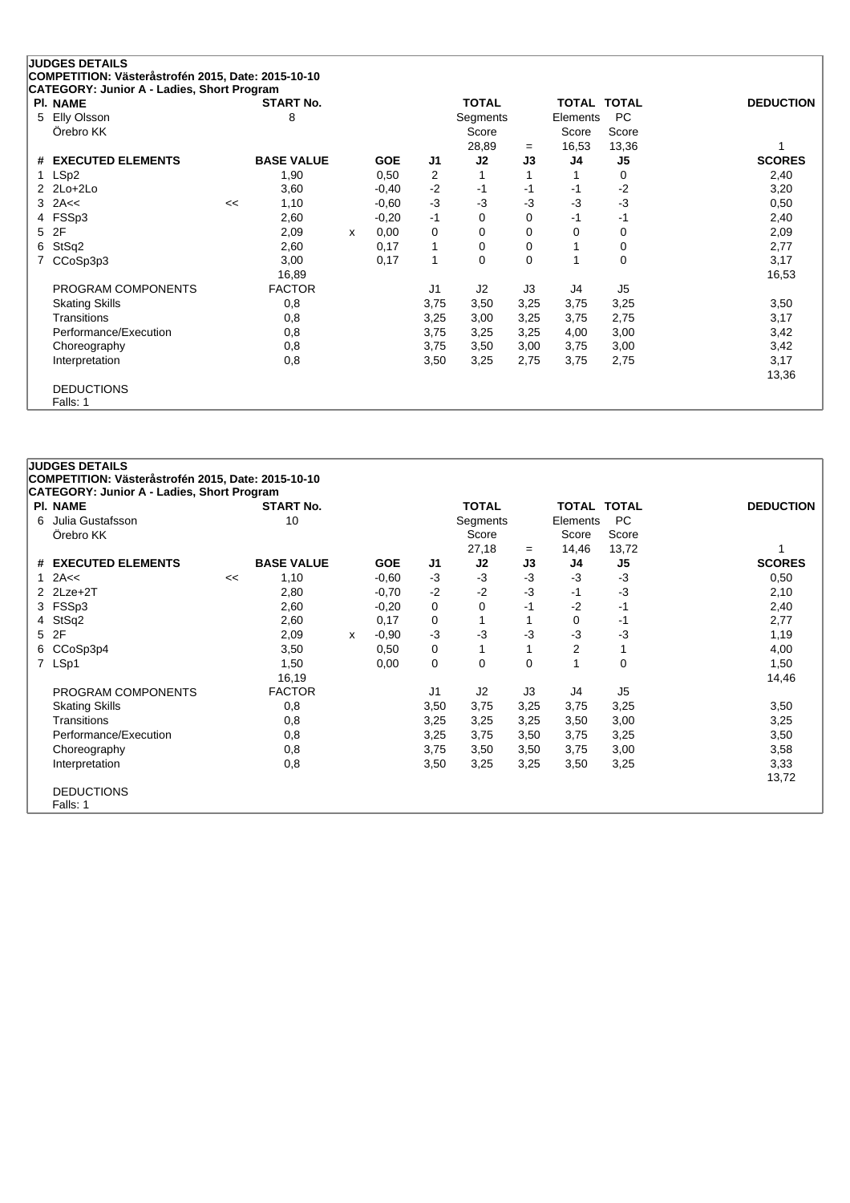|    | <b>JUDGES DETAILS</b><br>COMPETITION: Västeråstrofén 2015, Date: 2015-10-10 |    |                   |   |            |                |              |      |                    |                |                  |
|----|-----------------------------------------------------------------------------|----|-------------------|---|------------|----------------|--------------|------|--------------------|----------------|------------------|
|    | CATEGORY: Junior A - Ladies, Short Program                                  |    |                   |   |            |                |              |      |                    |                |                  |
|    | <b>PI. NAME</b>                                                             |    | <b>START No.</b>  |   |            |                | <b>TOTAL</b> |      | <b>TOTAL TOTAL</b> |                | <b>DEDUCTION</b> |
| 5. | Elly Olsson                                                                 |    | 8                 |   |            |                | Segments     |      | Elements           | PC             |                  |
|    | Örebro KK                                                                   |    |                   |   |            |                | Score        |      | Score              | Score          |                  |
|    |                                                                             |    |                   |   |            |                | 28,89        | $=$  | 16,53              | 13,36          |                  |
|    | # EXECUTED ELEMENTS                                                         |    | <b>BASE VALUE</b> |   | <b>GOE</b> | J1             | J2           | J3   | J4                 | J5             | <b>SCORES</b>    |
|    | LSp2                                                                        |    | 1,90              |   | 0,50       | 2              |              |      |                    | 0              | 2,40             |
|    | $2$ $2$ $Lo+2$ $Lo+2$                                                       |    | 3,60              |   | $-0,40$    | $-2$           | -1           | -1   | -1                 | $-2$           | 3,20             |
|    | $3$ 2A<<                                                                    | << | 1,10              |   | $-0,60$    | $-3$           | $-3$         | -3   | $-3$               | $-3$           | 0,50             |
|    | 4 FSSp3                                                                     |    | 2,60              |   | $-0,20$    | $-1$           | 0            | 0    | $-1$               | $-1$           | 2,40             |
| 5  | 2F                                                                          |    | 2,09              | x | 0,00       | 0              | 0            | 0    | 0                  | 0              | 2,09             |
| 6. | StSq2                                                                       |    | 2,60              |   | 0,17       | 1              | 0            | 0    |                    | 0              | 2,77             |
|    | CCoSp3p3                                                                    |    | 3,00              |   | 0,17       | $\mathbf{1}$   | 0            | 0    |                    | 0              | 3,17             |
|    |                                                                             |    | 16,89             |   |            |                |              |      |                    |                | 16,53            |
|    | PROGRAM COMPONENTS                                                          |    | <b>FACTOR</b>     |   |            | J <sub>1</sub> | J2           | J3   | J4                 | J <sub>5</sub> |                  |
|    | <b>Skating Skills</b>                                                       |    | 0,8               |   |            | 3,75           | 3,50         | 3,25 | 3,75               | 3,25           | 3,50             |
|    | <b>Transitions</b>                                                          |    | 0,8               |   |            | 3,25           | 3,00         | 3,25 | 3,75               | 2,75           | 3,17             |
|    | Performance/Execution                                                       |    | 0,8               |   |            | 3,75           | 3,25         | 3,25 | 4,00               | 3,00           | 3,42             |
|    | Choreography                                                                |    | 0,8               |   |            | 3,75           | 3,50         | 3,00 | 3,75               | 3,00           | 3,42             |
|    | Interpretation                                                              |    | 0,8               |   |            | 3,50           | 3,25         | 2,75 | 3,75               | 2,75           | 3,17             |
|    |                                                                             |    |                   |   |            |                |              |      |                    |                | 13,36            |
|    | <b>DEDUCTIONS</b>                                                           |    |                   |   |            |                |              |      |                    |                |                  |
|    | Falls: 1                                                                    |    |                   |   |            |                |              |      |                    |                |                  |

### **JUDGES DETAILS COMPETITION: Västeråstrofén 2015, Date: 2015-10-10 CATEGORY: Junior A - Ladies, Short Program Pl. NAME START No. TOTAL TOTAL TOTAL DEDUCTION** 6 Julia Gustafsson 10 Segments Elements PC Örebro KK Score Score Score Score Score Score Score Score Score Score Score Score Score Score Score Score Score 27,18 <sup>=</sup> 14,46 13,72 1 **# EXECUTED ELEMENTS BASE VALUE GOE J1 J2 J3 J4 J5 SCORES** 1 2A<< << 1,10 -0,60 -3 -3 -3 -3 -3 0,50 2 2Lze+2T 2,80 -0,70 -2 -2 -3 -1 -3 2,10 3 FSSp3 2,60 -0,20 0 0 -1 -2 -1 2,40 4 StSq2 2,60 0,17 0 1 1 0 -1 2,77 5 2F 2,09 <sup>x</sup> -0,90 -3 -3 -3 -3 -3 1,19 6 CCoSp3p4 3,50 0,50 0 1 1 2 1 4,00 7 LSp1 1,50 0,00 0 0 0 1 0 1,50 16,19 14,46 PROGRAM COMPONENTS FACTOR J1 J2 J3 J4 J5 Skating Skills 0,8 3,50 3,75 3,75 3,75 3,25 3,50 Transitions 0,8 3,25 3,25 3,25 3,50 3,00 3,25 Performance/Execution 0,8 0,8 3,25 3,75 3,50 3,75 3,25 3,25 3,50 Choreography 0,8 3,75 3,50 3,50 3,75 3,00 3,58 Interpretation 0,8 3,50 3,25 3,25 3,50 3,25 3,33 13,72 DEDUCTIONS Falls: 1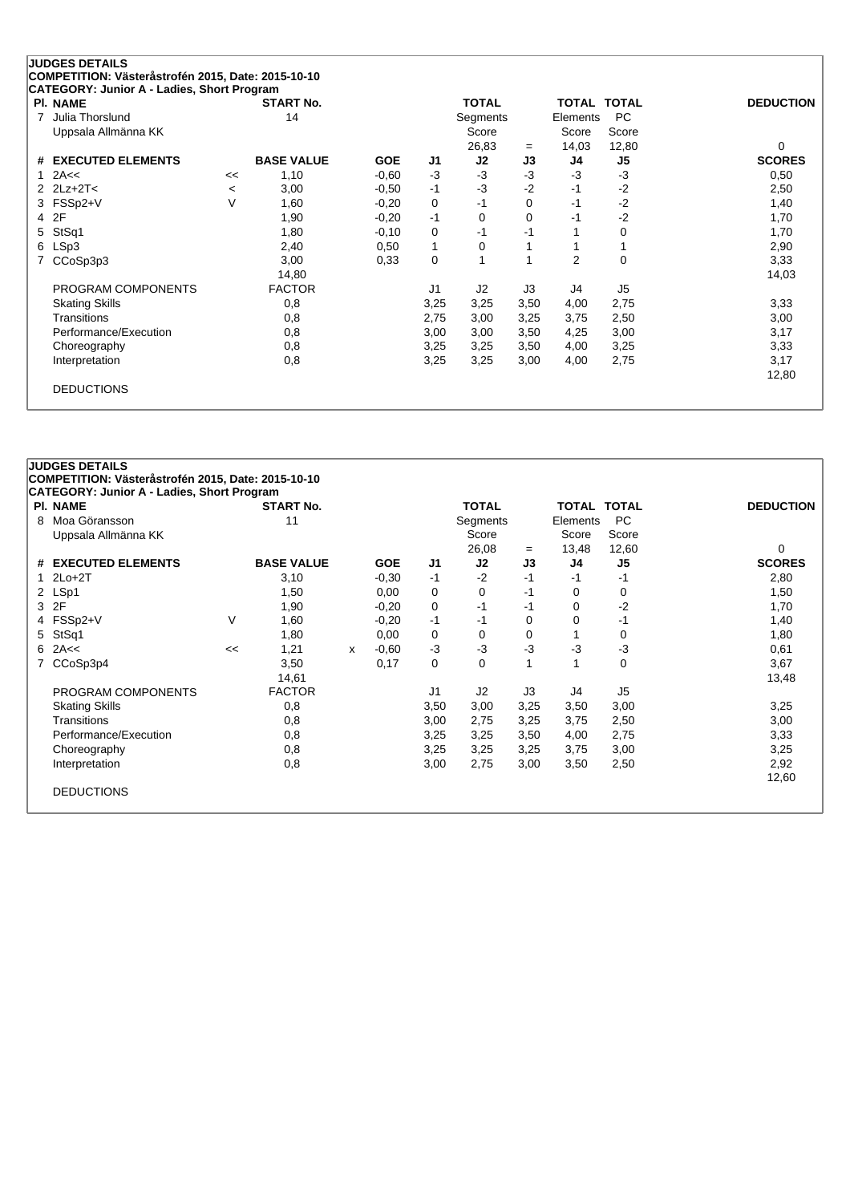| <b>PI. NAME</b>               |         | <b>START No.</b>  |            |      | <b>TOTAL</b>   |          | <b>TOTAL</b> | <b>TOTAL</b>   | <b>DEDUCTION</b> |
|-------------------------------|---------|-------------------|------------|------|----------------|----------|--------------|----------------|------------------|
| Julia Thorslund<br>7          |         | 14                |            |      | Segments       |          | Elements     | <b>PC</b>      |                  |
| Uppsala Allmänna KK           |         |                   |            |      | Score          |          | Score        | Score          |                  |
|                               |         |                   |            |      | 26,83          | $=$      | 14,03        | 12,80          | $\Omega$         |
| <b>EXECUTED ELEMENTS</b><br># |         | <b>BASE VALUE</b> | <b>GOE</b> | J1   | J2             | J3       | J4           | J5             | <b>SCORES</b>    |
| 2A<<<br>1.                    | <<      | 1,10              | $-0,60$    | $-3$ | $-3$           | $-3$     | $-3$         | $-3$           | 0,50             |
| 2 $2Lz+2T<$                   | $\,<\,$ | 3,00              | $-0,50$    | $-1$ | $-3$           | $-2$     | -1           | $-2$           | 2,50             |
| 3 FSSp2+V                     | $\vee$  | 1,60              | $-0,20$    | 0    | -1             | $\Omega$ | $-1$         | $-2$           | 1,40             |
| 2F<br>4                       |         | 1,90              | $-0,20$    | $-1$ | $\Omega$       | 0        | -1           | $-2$           | 1,70             |
| StSq1<br>5                    |         | 1,80              | $-0,10$    | 0    | $-1$           | $-1$     |              | 0              | 1,70             |
| LSp3<br>6                     |         | 2,40              | 0,50       | 1    | 0              |          |              |                | 2,90             |
| CCoSp3p3<br>7                 |         | 3,00              | 0.33       | 0    |                |          | 2            | $\mathbf 0$    | 3,33             |
|                               |         | 14,80             |            |      |                |          |              |                | 14,03            |
| PROGRAM COMPONENTS            |         | <b>FACTOR</b>     |            | J1   | J <sub>2</sub> | J3       | J4           | J <sub>5</sub> |                  |
| <b>Skating Skills</b>         |         | 0,8               |            | 3,25 | 3,25           | 3,50     | 4,00         | 2,75           | 3,33             |
| Transitions                   |         | 0,8               |            | 2,75 | 3,00           | 3,25     | 3,75         | 2,50           | 3,00             |
| Performance/Execution         |         | 0,8               |            | 3,00 | 3,00           | 3,50     | 4,25         | 3,00           | 3,17             |
| Choreography                  |         | 0,8               |            | 3,25 | 3,25           | 3,50     | 4,00         | 3,25           | 3,33             |
| Interpretation                |         | 0,8               |            | 3,25 | 3,25           | 3,00     | 4,00         | 2,75           | 3,17             |
|                               |         |                   |            |      |                |          |              |                | 12,80            |

# **JUDGES DETAILS COMPETITION: Västeråstrofén 2015, Date: 2015-10-10 CATEGORY: Junior A - Ladies, Short Program Pl. NAME START No. TOTAL TOTAL TOTAL DEDUCTION** 8 Moa Göransson 11 Segments Elements PC Uppsala Allmänna KK Score Score Score Score Score Score Score Score Score Score Score Score Score Score Score Score Score Score Score Score Score Score Score Score Score Score Score Score Score Score Score Score Score Scor 26,08 = 13,48 12,60 0<br> **J2 J3 J4 J5 SCORES # EXECUTED ELEMENTS BASE VALUE GOE J1 J2 J3 J4 J5 SCORES** 1 2Lo+2T 3,10 -0,30 -1 -2 -1 -1 -1 2,80 2 LSp1 1,50 0,00 0 0 -1 0 0 1,50 3 2F 1,90 -0,20 0 -1 -1 0 -2 1,70 4 FSSp2+V V 1,60 -0,20 -1 -1 0 0 -1 1,40 5 StSq1 1,80 0,00 0 0 0 1 0 1,80 6 2A<< << 1,21 <sup>x</sup> -0,60 -3 -3 -3 -3 -3 0,61 7 CCoSp3p4 3,50 0,17 0 0 1 1 0 3,67 14,61 13,48 PROGRAM COMPONENTS FACTOR UNIVERSITY OF THE SET OF THE SET OF THE SET OF THE SET OF THE SET OF THE SET OF THE S Skating Skills 0,8 3,50 3,00 3,25 3,50 3,00 3,25 Transitions 0,8 3,00 2,75 3,25 3,75 2,50 3,00 Performance/Execution 0,8 0,8 3,25 3,25 3,50 4,00 2,75 3,33 Choreography 0,8 3,25 3,25 3,25 3,75 3,00 3,25 Interpretation 0,8 3,00 2,75 3,00 3,50 2,50 2,92 12,60 DEDUCTIONS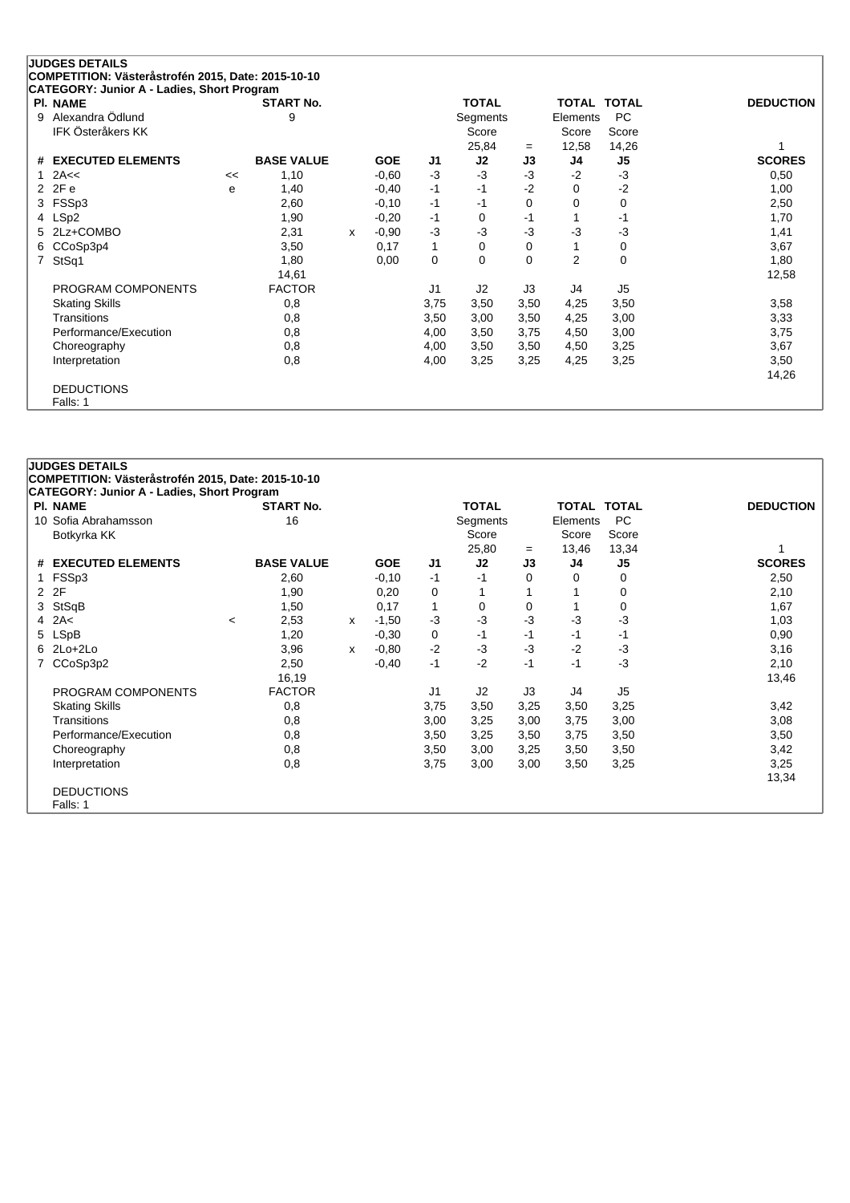|    | <b>JUDGES DETAILS</b>                                                                            |    |                   |   |            |                |              |          |                    |                |                  |
|----|--------------------------------------------------------------------------------------------------|----|-------------------|---|------------|----------------|--------------|----------|--------------------|----------------|------------------|
|    | COMPETITION: Västeråstrofén 2015, Date: 2015-10-10<br>CATEGORY: Junior A - Ladies, Short Program |    |                   |   |            |                |              |          |                    |                |                  |
|    | PI. NAME                                                                                         |    | <b>START No.</b>  |   |            |                | <b>TOTAL</b> |          | <b>TOTAL TOTAL</b> |                | <b>DEDUCTION</b> |
| 9  | Alexandra Ödlund                                                                                 |    | 9                 |   |            |                | Segments     |          | Elements           | <b>PC</b>      |                  |
|    | IFK Österåkers KK                                                                                |    |                   |   |            |                | Score        |          | Score              | Score          |                  |
|    |                                                                                                  |    |                   |   |            |                | 25,84        | $=$      | 12,58              | 14,26          |                  |
|    | # EXECUTED ELEMENTS                                                                              |    | <b>BASE VALUE</b> |   | <b>GOE</b> | J1             | J2           | J3       | J4                 | J <sub>5</sub> | <b>SCORES</b>    |
|    | 2A<<                                                                                             | << | 1,10              |   | $-0,60$    | $-3$           | $-3$         | $-3$     | $-2$               | $-3$           | 0,50             |
|    | 2 2Fe                                                                                            | e  | 1,40              |   | $-0,40$    | $-1$           | -1           | $-2$     | 0                  | $-2$           | 1,00             |
| 3  | FSSp3                                                                                            |    | 2,60              |   | $-0,10$    | $-1$           | -1           | 0        | $\Omega$           | 0              | 2,50             |
|    | 4 LSp2                                                                                           |    | 1,90              |   | $-0,20$    | -1             | 0            | -1       |                    | $-1$           | 1,70             |
| 5. | 2Lz+COMBO                                                                                        |    | 2,31              | x | $-0.90$    | $-3$           | $-3$         | -3       | $-3$               | $-3$           | 1,41             |
| 6. | CCoSp3p4                                                                                         |    | 3,50              |   | 0,17       | 1              | 0            | 0        |                    | 0              | 3,67             |
| 7  | StSq1                                                                                            |    | 1,80              |   | 0,00       | 0              | $\Omega$     | $\Omega$ | $\overline{2}$     | $\mathbf 0$    | 1,80             |
|    |                                                                                                  |    | 14,61             |   |            |                |              |          |                    |                | 12,58            |
|    | PROGRAM COMPONENTS                                                                               |    | <b>FACTOR</b>     |   |            | J <sub>1</sub> | J2           | J3       | J4                 | J <sub>5</sub> |                  |
|    | <b>Skating Skills</b>                                                                            |    | 0,8               |   |            | 3,75           | 3,50         | 3,50     | 4,25               | 3,50           | 3,58             |
|    | Transitions                                                                                      |    | 0,8               |   |            | 3,50           | 3,00         | 3,50     | 4,25               | 3,00           | 3,33             |
|    | Performance/Execution                                                                            |    | 0,8               |   |            | 4,00           | 3,50         | 3,75     | 4,50               | 3,00           | 3,75             |
|    | Choreography                                                                                     |    | 0,8               |   |            | 4,00           | 3,50         | 3,50     | 4,50               | 3,25           | 3,67             |
|    | Interpretation                                                                                   |    | 0,8               |   |            | 4,00           | 3,25         | 3,25     | 4,25               | 3,25           | 3,50             |
|    |                                                                                                  |    |                   |   |            |                |              |          |                    |                | 14,26            |
|    | <b>DEDUCTIONS</b>                                                                                |    |                   |   |            |                |              |          |                    |                |                  |
|    | Falls: 1                                                                                         |    |                   |   |            |                |              |          |                    |                |                  |

### **JUDGES DETAILS COMPETITION: Västeråstrofén 2015, Date: 2015-10-10 CATEGORY: Junior A - Ladies, Short Program Pl. NAME START No. TOTAL TOTAL TOTAL DEDUCTION** 10 Sofia Abrahamsson 16 Segments Elements PC Botkyrka KK Score Score Score Score Score Score Score Score Score Score Score Score Score Score Score Score Score Score Score Score Score Score Score Score Score Score Score Score Score Score Score Score Score Score Score 25,80 <sup>=</sup> 13,46 13,34 1 **# EXECUTED ELEMENTS BASE VALUE GOE J1 J2 J3 J4 J5 SCORES** 1 FSSp3 2,60 -0,10 -1 -1 0 0 0 2,50 2 2F 1,90 0,20 0 1 1 1 0 2,10 3 StSqB 1,50 0,17 1 0 0 1 0 1,67 4 2A< <sup>&</sup>lt; 2,53 <sup>x</sup> -1,50 -3 -3 -3 -3 -3 1,03 5 LSpB 1,20 -0,30 0 -1 -1 -1 -1 0,90 6 2Lo+2Lo 3,96 <sup>x</sup> -0,80 -2 -3 -3 -2 -3 3,16 7 CCoSp3p2 2,50 -0,40 -1 -2 -1 -1 -3 2,10 16,19 13,46 PROGRAM COMPONENTS FACTOR J1 J2 J3 J4 J5 Skating Skills 0,8 3,75 3,50 3,25 3,50 3,25 3,42 Transitions 0,8 3,00 3,25 3,00 3,75 3,00 3,08 Performance/Execution 0,8 0,8 3,50 3,25 3,50 3,75 3,50 3,50 3,50 Choreography 0,8 3,50 3,00 3,25 3,50 3,50 3,42 Interpretation 0,8 3,75 3,00 3,00 3,50 3,25 3,25 13,34 DEDUCTIONS Falls: 1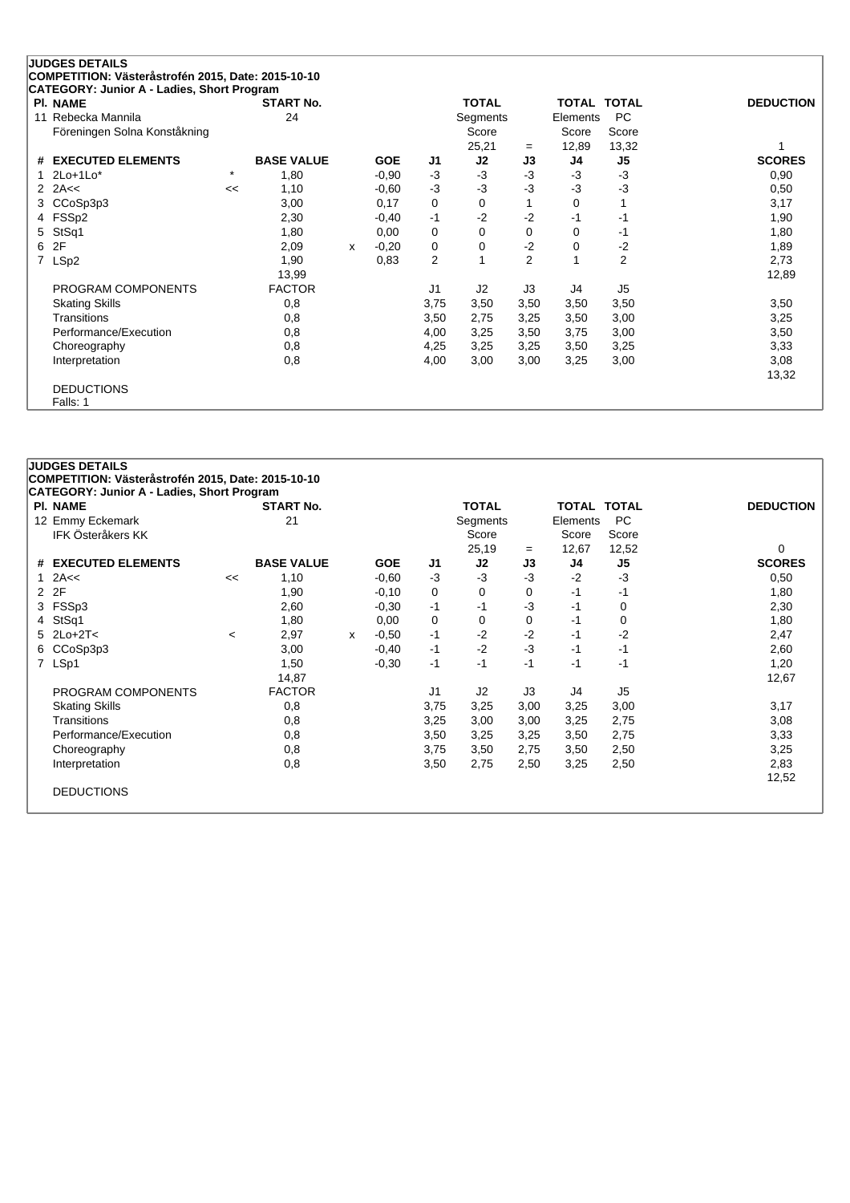|    | <b>JUDGES DETAILS</b>                              |         |                   |   |            |                         |              |                |                    |                |                  |
|----|----------------------------------------------------|---------|-------------------|---|------------|-------------------------|--------------|----------------|--------------------|----------------|------------------|
|    | COMPETITION: Västeråstrofén 2015, Date: 2015-10-10 |         |                   |   |            |                         |              |                |                    |                |                  |
|    | CATEGORY: Junior A - Ladies, Short Program         |         |                   |   |            |                         |              |                |                    |                |                  |
|    | <b>PI. NAME</b>                                    |         | <b>START No.</b>  |   |            |                         | <b>TOTAL</b> |                | <b>TOTAL TOTAL</b> |                | <b>DEDUCTION</b> |
| 11 | Rebecka Mannila                                    |         | 24                |   |            |                         | Segments     |                | Elements           | <b>PC</b>      |                  |
|    | Föreningen Solna Konståkning                       |         |                   |   |            |                         | Score        |                | Score              | Score          |                  |
|    |                                                    |         |                   |   |            |                         | 25,21        | $=$            | 12,89              | 13,32          |                  |
| #  | <b>EXECUTED ELEMENTS</b>                           |         | <b>BASE VALUE</b> |   | <b>GOE</b> | J1                      | J2           | J3             | J4                 | J <sub>5</sub> | <b>SCORES</b>    |
|    | $2$ Lo $+1$ Lo $*$                                 | $\star$ | 1,80              |   | $-0,90$    | $-3$                    | $-3$         | $-3$           | $-3$               | -3             | 0,90             |
| 2  | 2A<<                                               | <<      | 1,10              |   | $-0.60$    | -3                      | $-3$         | $-3$           | $-3$               | -3             | 0,50             |
|    | 3 CCoSp3p3                                         |         | 3,00              |   | 0,17       | 0                       | $\Omega$     |                | 0                  |                | 3,17             |
|    | 4 FSSp2                                            |         | 2,30              |   | $-0,40$    | $-1$                    | $-2$         | $-2$           | -1                 | -1             | 1,90             |
| 5  | StSq1                                              |         | 1,80              |   | 0,00       | 0                       | $\Omega$     | $\Omega$       | 0                  | -1             | 1,80             |
| 6  | 2F                                                 |         | 2,09              | x | $-0,20$    | 0                       | 0            | $-2$           | 0                  | -2             | 1,89             |
| 7  | LSp2                                               |         | 1,90              |   | 0,83       | $\overline{\mathbf{c}}$ |              | $\overline{2}$ |                    | $\overline{2}$ | 2,73             |
|    |                                                    |         | 13,99             |   |            |                         |              |                |                    |                | 12,89            |
|    | PROGRAM COMPONENTS                                 |         | <b>FACTOR</b>     |   |            | J <sub>1</sub>          | J2           | J3             | J4                 | J <sub>5</sub> |                  |
|    | <b>Skating Skills</b>                              |         | 0,8               |   |            | 3,75                    | 3,50         | 3,50           | 3,50               | 3,50           | 3,50             |
|    | Transitions                                        |         | 0,8               |   |            | 3,50                    | 2,75         | 3,25           | 3,50               | 3,00           | 3,25             |
|    | Performance/Execution                              |         | 0,8               |   |            | 4,00                    | 3,25         | 3,50           | 3,75               | 3,00           | 3,50             |
|    | Choreography                                       |         | 0,8               |   |            | 4,25                    | 3,25         | 3,25           | 3,50               | 3,25           | 3,33             |
|    | Interpretation                                     |         | 0,8               |   |            | 4,00                    | 3,00         | 3,00           | 3,25               | 3,00           | 3,08             |
|    |                                                    |         |                   |   |            |                         |              |                |                    |                | 13,32            |
|    | <b>DEDUCTIONS</b>                                  |         |                   |   |            |                         |              |                |                    |                |                  |
|    | Falls: 1                                           |         |                   |   |            |                         |              |                |                    |                |                  |

# **JUDGES DETAILS COMPETITION: Västeråstrofén 2015, Date: 2015-10-10 CATEGORY: Junior A - Ladies, Short Program Pl. NAME START No. TOTAL TOTAL TOTAL DEDUCTION** 12 Emmy Eckemark 21 Segments Elements PC IFK Österåkers KK Score Score Score 25,19 <sup>=</sup> 12,67 12,52 0 **# EXECUTED ELEMENTS BASE VALUE GOE J1 J2 J3 J4 J5 SCORES** 1 2A<< << 1,10 -0,60 -3 -3 -3 -2 -3 0,50 2 2F 1,90 -0,10 0 0 0 -1 -1 1,80 3 FSSp3 2,60 -0,30 -1 -1 -3 -1 0 2,30 4 StSq1 1,80 0,00 0 0 0 -1 0 1,80 5 2Lo+2T< <sup>&</sup>lt; 2,97 <sup>x</sup> -0,50 -1 -2 -2 -1 -2 2,47 6 CCoSp3p3 3,00 -0,40 -1 -2 -3 -1 -1 2,60 7 LSp1 1,50 -0,30 -1 -1 -1 -1 -1 1,20 14,87 12,67 PROGRAM COMPONENTS FACTOR J1 J2 J3 J4 J5 Skating Skills 0,8 3,75 3,25 3,00 3,25 3,00 3,17 Transitions 0,8 3,25 3,00 3,00 3,25 2,75 3,08 Performance/Execution 0,8 0,8 3,50 3,25 3,25 3,50 2,75 3,33 Choreography 0,8 3,75 3,50 2,75 3,50 2,50 3,25 Interpretation 0,8 3,50 2,75 2,50 3,25 2,50 2,83 12,52 DEDUCTIONS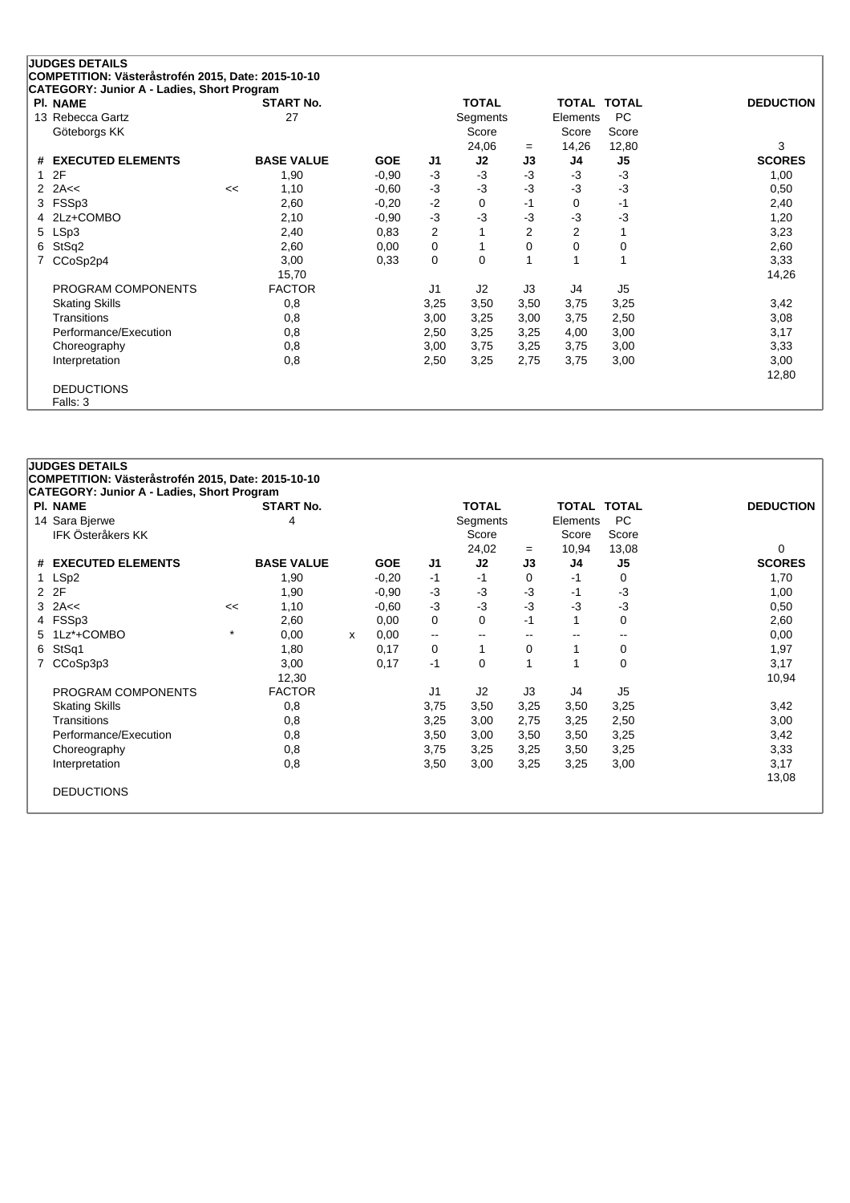|    | <b>JUDGES DETAILS</b>                                                                            |    |                   |            |                |                |      |                    |             |                  |
|----|--------------------------------------------------------------------------------------------------|----|-------------------|------------|----------------|----------------|------|--------------------|-------------|------------------|
|    | COMPETITION: Västeråstrofén 2015, Date: 2015-10-10<br>CATEGORY: Junior A - Ladies, Short Program |    |                   |            |                |                |      |                    |             |                  |
|    | <b>PI. NAME</b>                                                                                  |    | <b>START No.</b>  |            |                | <b>TOTAL</b>   |      | <b>TOTAL TOTAL</b> |             | <b>DEDUCTION</b> |
|    | 13 Rebecca Gartz                                                                                 |    | 27                |            |                | Segments       |      | Elements           | PC          |                  |
|    | Göteborgs KK                                                                                     |    |                   |            |                | Score          |      | Score              | Score       |                  |
|    |                                                                                                  |    |                   |            |                | 24,06          | $=$  | 14,26              | 12,80       | 3                |
|    | # EXECUTED ELEMENTS                                                                              |    | <b>BASE VALUE</b> | <b>GOE</b> | J1             | J2             | J3   | J4                 | J5          | <b>SCORES</b>    |
| 1  | 2F                                                                                               |    | 1,90              | $-0.90$    | $-3$           | $-3$           | $-3$ | $-3$               | $-3$        | 1,00             |
|    | 2 $2A<<$                                                                                         | << | 1,10              | $-0,60$    | $-3$           | $-3$           | -3   | $-3$               | $-3$        | 0,50             |
| 3  | FSSp3                                                                                            |    | 2,60              | $-0,20$    | $-2$           | $\Omega$       | $-1$ | 0                  | $-1$        | 2,40             |
| 4  | 2Lz+COMBO                                                                                        |    | 2,10              | $-0,90$    | $-3$           | -3             | -3   | $-3$               | $-3$        | 1,20             |
| 5. | LSp3                                                                                             |    | 2,40              | 0.83       | $\overline{c}$ |                | 2    | 2                  |             | 3,23             |
| 6  | StSq2                                                                                            |    | 2,60              | 0,00       | 0              |                | 0    | 0                  | $\mathbf 0$ | 2,60             |
|    | CCoSp2p4                                                                                         |    | 3,00              | 0.33       | 0              | $\Omega$       |      |                    |             | 3,33             |
|    |                                                                                                  |    | 15,70             |            |                |                |      |                    |             | 14,26            |
|    | PROGRAM COMPONENTS                                                                               |    | <b>FACTOR</b>     |            | J1             | J <sub>2</sub> | J3   | J4                 | J5          |                  |
|    | <b>Skating Skills</b>                                                                            |    | 0,8               |            | 3,25           | 3,50           | 3,50 | 3,75               | 3,25        | 3,42             |
|    | Transitions                                                                                      |    | 0,8               |            | 3,00           | 3,25           | 3,00 | 3,75               | 2,50        | 3,08             |
|    | Performance/Execution                                                                            |    | 0,8               |            | 2,50           | 3,25           | 3,25 | 4,00               | 3,00        | 3,17             |
|    | Choreography                                                                                     |    | 0,8               |            | 3,00           | 3,75           | 3,25 | 3,75               | 3,00        | 3,33             |
|    | Interpretation                                                                                   |    | 0,8               |            | 2,50           | 3,25           | 2,75 | 3,75               | 3,00        | 3,00             |
|    |                                                                                                  |    |                   |            |                |                |      |                    |             | 12,80            |
|    | <b>DEDUCTIONS</b>                                                                                |    |                   |            |                |                |      |                    |             |                  |
|    | Falls: 3                                                                                         |    |                   |            |                |                |      |                    |             |                  |

# **JUDGES DETAILS COMPETITION: Västeråstrofén 2015, Date: 2015-10-10 CATEGORY: Junior A - Ladies, Short Program Pl. NAME START No. TOTAL TOTAL TOTAL DEDUCTION** 14 Sara Bjerwe 11 Segments Elements PC<br>IFK Österåkers KK 1999 Score 1999 Score 1999 Score 1999 Score 1999 Score 1999 Score 1999 Score 1999 Score 199 IFK Österåkers KK<br>IFK Österåkers KK 24,02 <sup>=</sup> 10,94 13,08 0 **# EXECUTED ELEMENTS BASE VALUE GOE J1 J2 J3 J4 J5 SCORES** 1 LSp2 1,90 -0,20 -1 -1 0 -1 0 1,70 2 2F 1,90 -0,90 -3 -3 -3 -1 -3 1,00 3 2A<< << 1,10 -0,60 -3 -3 -3 -3 -3 0,50 4 FSSp3 2,60 0,00 0 0 -1 1 0 2,60 5 1Lz\*+COMBO \* 0,00 <sup>x</sup> 0,00 -- -- -- -- -- 0,00 6 StSq1 1,80 0,17 0 1 0 1 0 1,97 7 CCoSp3p3 3,00 0,17 -1 0 1 1 0 3,17 12,30 10,94 PROGRAM COMPONENTS FACTOR J1 J2 J3 J4 J5 Skating Skills 0,8 3,75 3,50 3,25 3,50 3,25 3,42 Transitions 0,8 3,25 3,00 2,75 3,25 2,50 3,00 Performance/Execution 0,8 0,8 3,50 3,00 3,50 3,50 3,25 3,42 3,42 Choreography 0,8 3,75 3,25 3,25 3,50 3,25 3,33 Interpretation 0,8 3,50 3,00 3,25 3,25 3,00 3,17 13,08 DEDUCTIONS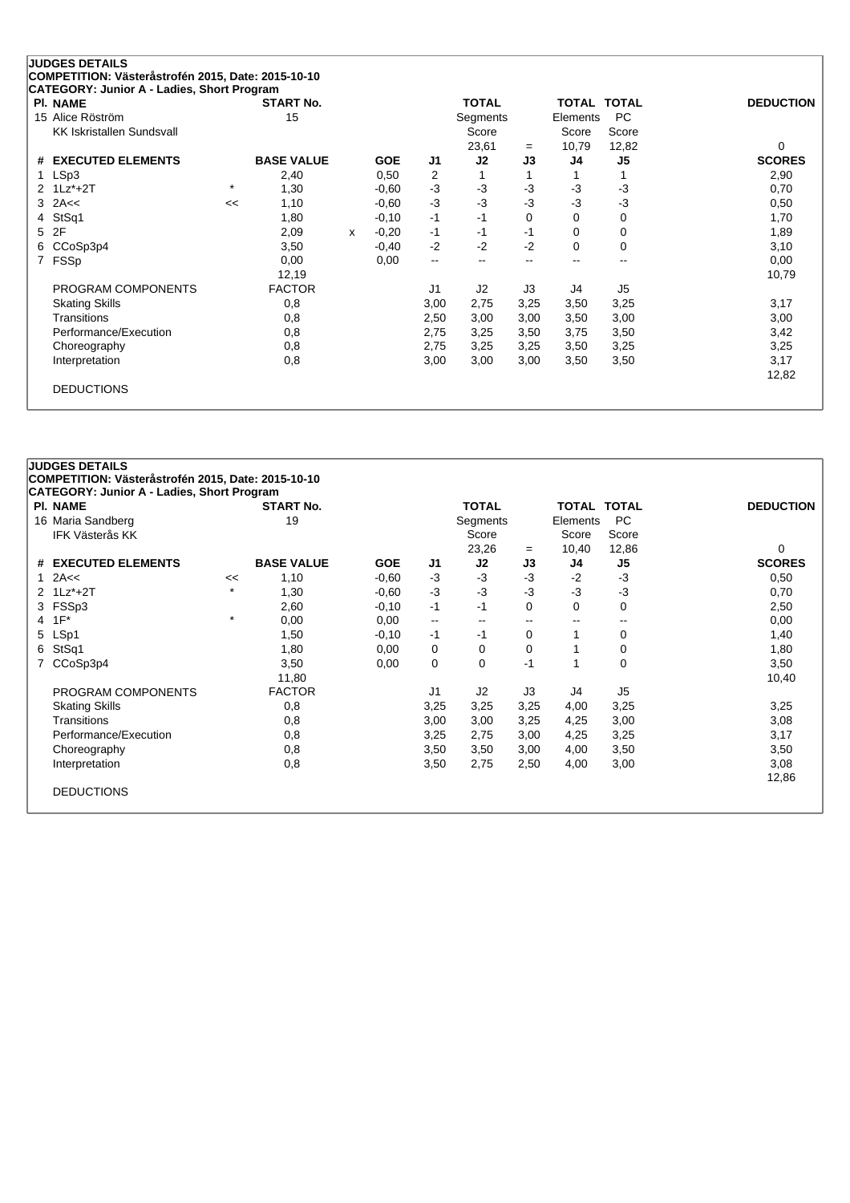| <b>PI. NAME</b>                  |         | <b>START No.</b>  |   |            |                | <b>TOTAL</b>   |      | <b>TOTAL</b> | <b>TOTAL</b> | <b>DEDUCTION</b> |
|----------------------------------|---------|-------------------|---|------------|----------------|----------------|------|--------------|--------------|------------------|
| 15 Alice Röström                 |         | 15                |   |            |                | Segments       |      | Elements     | <b>PC</b>    |                  |
| <b>KK Iskristallen Sundsvall</b> |         |                   |   |            |                | Score          |      | Score        | Score        |                  |
|                                  |         |                   |   |            |                | 23,61          | $=$  | 10,79        | 12,82        | 0                |
| # EXECUTED ELEMENTS              |         | <b>BASE VALUE</b> |   | <b>GOE</b> | J1             | J2             | J3   | J4           | J5           | <b>SCORES</b>    |
| LSp3                             |         | 2,40              |   | 0,50       | 2              |                |      |              | 1            | 2,90             |
| 2 1Lz*+2T                        | $\star$ | 1,30              |   | $-0.60$    | $-3$           | $-3$           | -3   | $-3$         | $-3$         | 0,70             |
| 2A<<<br>3                        | <<      | 1,10              |   | $-0.60$    | $-3$           | $-3$           | -3   | $-3$         | $-3$         | 0,50             |
| StSq1<br>4                       |         | 1,80              |   | $-0,10$    | $-1$           | -1             | 0    | 0            | 0            | 1,70             |
| 2F<br>5.                         |         | 2,09              | x | $-0,20$    | -1             | -1             | -1   | 0            | 0            | 1,89             |
| CCoSp3p4<br>6                    |         | 3,50              |   | $-0,40$    | $-2$           | $-2$           | -2   | 0            | 0            | 3,10             |
| FSSp<br>7                        |         | 0,00              |   | 0,00       | --             | --             | --   |              | $-$          | 0,00             |
|                                  |         | 12,19             |   |            |                |                |      |              |              | 10,79            |
| PROGRAM COMPONENTS               |         | <b>FACTOR</b>     |   |            | J <sub>1</sub> | J <sub>2</sub> | J3   | J4           | J5           |                  |
| <b>Skating Skills</b>            |         | 0,8               |   |            | 3,00           | 2,75           | 3,25 | 3,50         | 3,25         | 3,17             |
| Transitions                      |         | 0,8               |   |            | 2,50           | 3,00           | 3,00 | 3,50         | 3,00         | 3,00             |
| Performance/Execution            |         | 0,8               |   |            | 2,75           | 3,25           | 3,50 | 3,75         | 3,50         | 3,42             |
| Choreography                     |         | 0,8               |   |            | 2,75           | 3,25           | 3,25 | 3,50         | 3,25         | 3,25             |
| Interpretation                   |         | 0,8               |   |            | 3,00           | 3,00           | 3,00 | 3,50         | 3,50         | 3,17             |
|                                  |         |                   |   |            |                |                |      |              |              | 12,82            |

| <b>PI. NAME</b>                             |         | <b>START No.</b>  |            |                | <b>TOTAL</b>      |          | <b>TOTAL TOTAL</b>       |                    | <b>DEDUCTION</b> |
|---------------------------------------------|---------|-------------------|------------|----------------|-------------------|----------|--------------------------|--------------------|------------------|
| 16 Maria Sandberg<br><b>IFK Västerås KK</b> |         | 19                |            |                | Segments<br>Score |          | Elements<br>Score        | <b>PC</b><br>Score |                  |
|                                             |         |                   |            |                | 23,26             | $=$      | 10,40                    | 12,86              | 0                |
| # EXECUTED ELEMENTS                         |         | <b>BASE VALUE</b> | <b>GOE</b> | J <sub>1</sub> | J2                | J3       | J4                       | J5                 | <b>SCORES</b>    |
| 1 $2A <$                                    | <<      | 1,10              | $-0.60$    | $-3$           | $-3$              | $-3$     | $-2$                     | $-3$               | 0,50             |
| 2 1Lz*+2T                                   | $\star$ | 1,30              | $-0.60$    | $-3$           | $-3$              | -3       | $-3$                     | $-3$               | 0,70             |
| 3 FSSp3                                     |         | 2,60              | $-0,10$    | $-1$           | $-1$              | $\Omega$ | 0                        | 0                  | 2,50             |
| $1F^*$<br>4                                 | $\star$ | 0,00              | 0,00       | --             | $\sim$ $\sim$     | --       | $\overline{\phantom{a}}$ | --                 | 0,00             |
| 5 LSp1                                      |         | 1,50              | $-0,10$    | $-1$           | -1                | $\Omega$ |                          | 0                  | 1,40             |
| StSq1<br>6.                                 |         | 1,80              | 0,00       | 0              | 0                 | 0        |                          | 0                  | 1,80             |
| CCoSp3p4<br>7                               |         | 3,50              | 0,00       | 0              | $\Omega$          | -1       |                          | 0                  | 3,50             |
|                                             |         | 11,80             |            |                |                   |          |                          |                    | 10,40            |
| PROGRAM COMPONENTS                          |         | <b>FACTOR</b>     |            | J1             | J <sub>2</sub>    | J3       | J4                       | J <sub>5</sub>     |                  |
| <b>Skating Skills</b>                       |         | 0,8               |            | 3,25           | 3,25              | 3,25     | 4,00                     | 3,25               | 3,25             |
| <b>Transitions</b>                          |         | 0,8               |            | 3,00           | 3,00              | 3,25     | 4,25                     | 3,00               | 3,08             |
| Performance/Execution                       |         | 0,8               |            | 3,25           | 2,75              | 3,00     | 4,25                     | 3,25               | 3,17             |
| Choreography                                |         | 0,8               |            | 3,50           | 3,50              | 3,00     | 4,00                     | 3,50               | 3,50             |
| Interpretation                              |         | 0,8               |            | 3,50           | 2,75              | 2,50     | 4,00                     | 3,00               | 3,08             |
|                                             |         |                   |            |                |                   |          |                          |                    | 12,86            |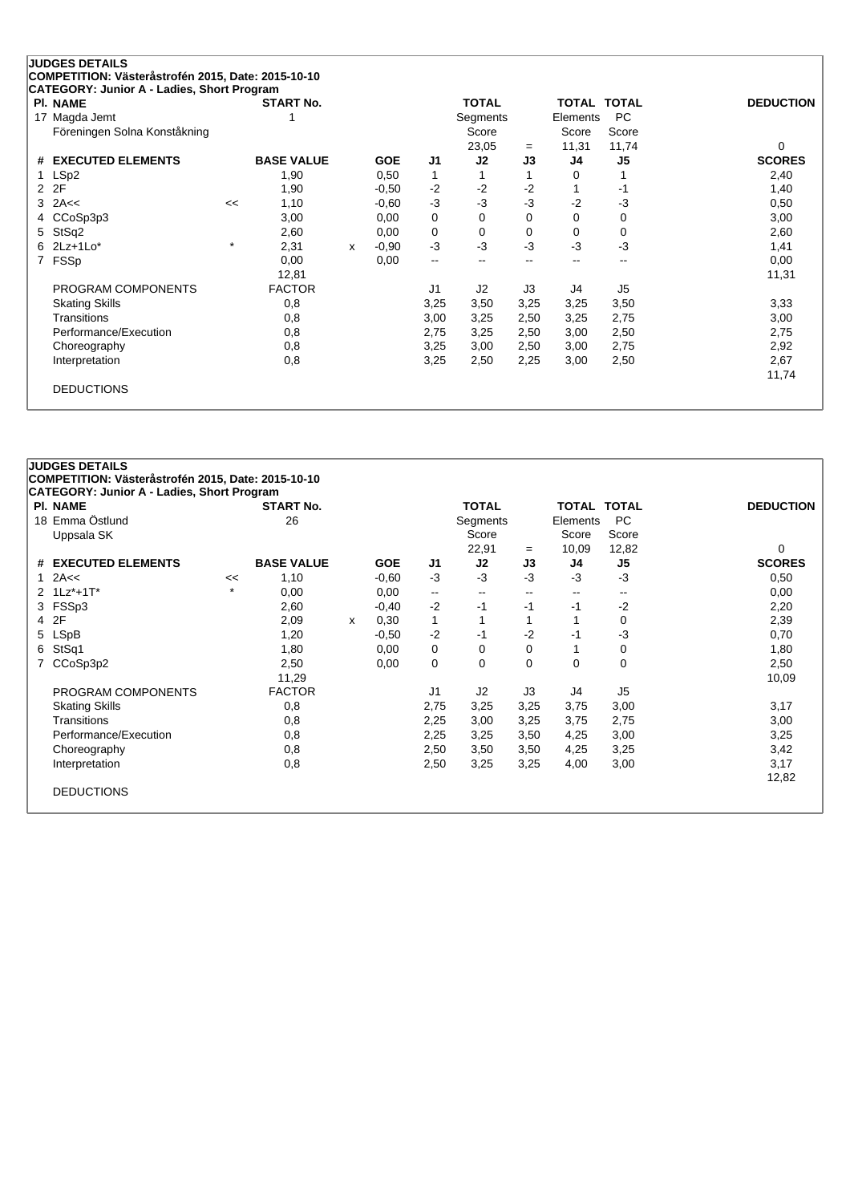| <b>PI. NAME</b>               |         | <b>START No.</b>  |   |            |                          | <b>TOTAL</b>   |                          | TOTAL    | <b>TOTAL</b>             | <b>DEDUCTION</b> |
|-------------------------------|---------|-------------------|---|------------|--------------------------|----------------|--------------------------|----------|--------------------------|------------------|
| Magda Jemt<br>17              |         |                   |   |            |                          | Segments       |                          | Elements | PC                       |                  |
| Föreningen Solna Konståkning  |         |                   |   |            |                          | Score          |                          | Score    | Score                    |                  |
|                               |         |                   |   |            |                          | 23,05          | $=$                      | 11,31    | 11,74                    | 0                |
| <b>EXECUTED ELEMENTS</b><br># |         | <b>BASE VALUE</b> |   | <b>GOE</b> | J1                       | J2             | J3                       | J4       | J5                       | <b>SCORES</b>    |
| LSp2                          |         | 1,90              |   | 0,50       | $\mathbf 1$              |                |                          | 0        | 1                        | 2,40             |
| 2F<br>2                       |         | 1,90              |   | $-0.50$    | $-2$                     | $-2$           | $-2$                     |          | $-1$                     | 1,40             |
| 2A<<<br>3                     | <<      | 1,10              |   | $-0,60$    | $-3$                     | $-3$           | $-3$                     | $-2$     | $-3$                     | 0,50             |
| CCoSp3p3<br>4                 |         | 3,00              |   | 0,00       | 0                        | 0              | 0                        | 0        | 0                        | 3,00             |
| StSq2<br>5                    |         | 2,60              |   | 0,00       | 0                        | 0              | 0                        | 0        | 0                        | 2,60             |
| $2Lz+1Lo*$<br>6.              | $\star$ | 2,31              | x | $-0.90$    | $-3$                     | $-3$           | -3                       | $-3$     | $-3$                     | 1,41             |
| FSSp<br>7                     |         | 0,00              |   | 0,00       | $\overline{\phantom{a}}$ |                | $\overline{\phantom{a}}$ | $- -$    | $\overline{\phantom{a}}$ | 0,00             |
|                               |         | 12,81             |   |            |                          |                |                          |          |                          | 11,31            |
| PROGRAM COMPONENTS            |         | <b>FACTOR</b>     |   |            | J <sub>1</sub>           | J <sub>2</sub> | J3                       | J4       | J <sub>5</sub>           |                  |
| <b>Skating Skills</b>         |         | 0,8               |   |            | 3,25                     | 3,50           | 3,25                     | 3,25     | 3,50                     | 3,33             |
| Transitions                   |         | 0,8               |   |            | 3,00                     | 3,25           | 2,50                     | 3,25     | 2,75                     | 3,00             |
| Performance/Execution         |         | 0,8               |   |            | 2,75                     | 3,25           | 2,50                     | 3,00     | 2,50                     | 2,75             |
| Choreography                  |         | 0,8               |   |            | 3,25                     | 3,00           | 2,50                     | 3,00     | 2,75                     | 2,92             |
| Interpretation                |         | 0,8               |   |            | 3,25                     | 2,50           | 2,25                     | 3,00     | 2,50                     | 2,67             |
|                               |         |                   |   |            |                          |                |                          |          |                          | 11,74            |

# **JUDGES DETAILS COMPETITION: Västeråstrofén 2015, Date: 2015-10-10 CATEGORY: Junior A - Ladies, Short Program Pl. NAME START No. TOTAL TOTAL TOTAL DEDUCTION** <sup>18</sup> Emma Östlund <sup>26</sup> Segments Elements PC Uppsala SK Score 22,91 <sup>=</sup> 10,09 12,82 0 **# EXECUTED ELEMENTS BASE VALUE GOE J1 J2 J3 J4 J5 SCORES** 1 2A<< << 1,10 -0,60 -3 -3 -3 -3 -3 0,50 2 1Lz\*+1T\* \* 0,00 0,00 -- -- -- -- -- 0,00 3 FSSp3 2,60 -0,40 -2 -1 -1 -1 -2 2,20 4 2F 2,09 <sup>x</sup> 0,30 1 1 1 1 0 2,39 5 LSpB 1,20 -0,50 -2 -1 -2 -1 -3 0,70 6 StSq1 1,80 0,00 0 0 0 1 0 1,80 7 CCoSp3p2 2,50 0,00 0 0 0 0 0 2,50 11,29 10,09 PROGRAM COMPONENTS FACTOR J1 J2 J3 J4 J5 Skating Skills 0,8 2,75 3,25 3,25 3,75 3,00 3,17 Transitions 0,8 2,25 3,00 3,25 3,75 2,75 3,00 Performance/Execution 0,8 0,8 2,25 3,25 3,50 4,25 3,00 3,25 Choreography 0,8 2,50 3,50 3,50 4,25 3,25 3,42 Interpretation 0,8 2,50 3,25 3,25 4,00 3,00 3,17 12,82 DEDUCTIONS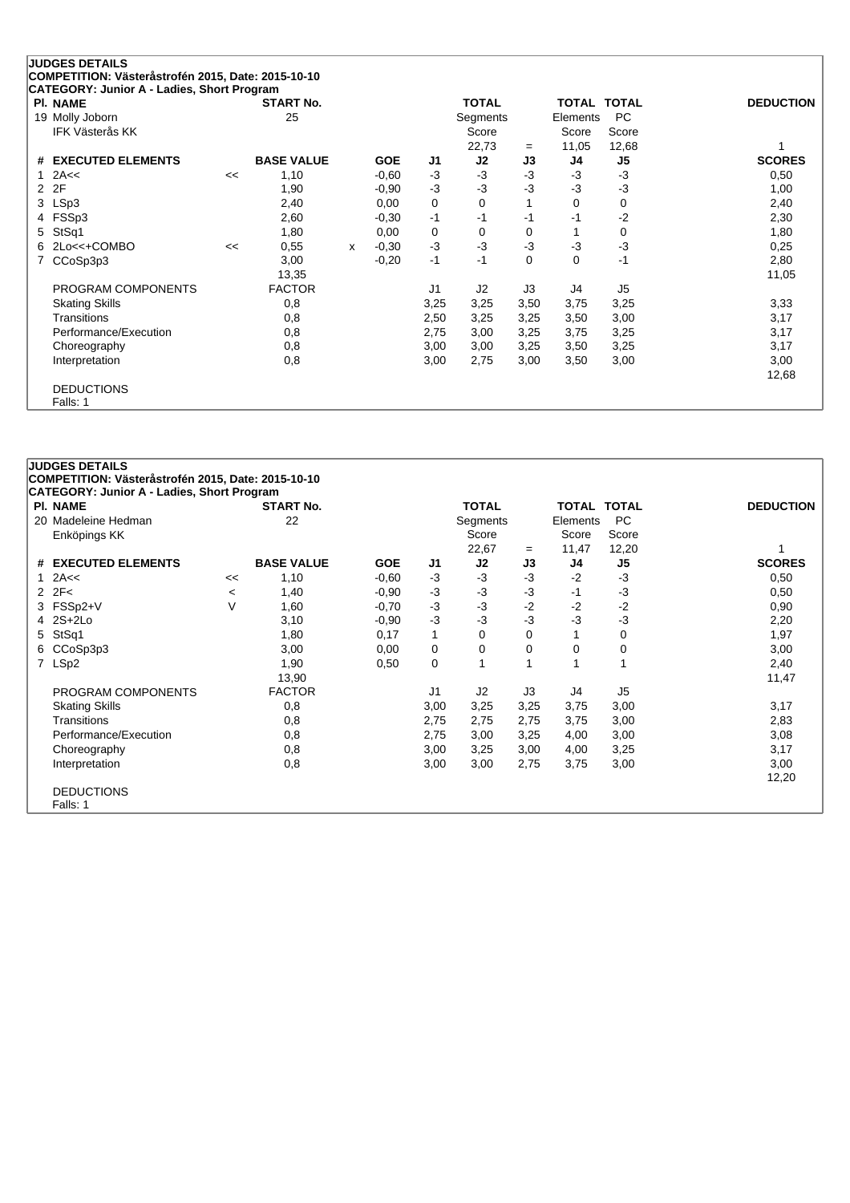| <b>PI. NAME</b>               |    | CATEGORY: Junior A - Ladies, Short Program<br><b>START No.</b> |   |            |                | <b>TOTAL</b> |          | <b>TOTAL TOTAL</b> |                | <b>DEDUCTION</b> |
|-------------------------------|----|----------------------------------------------------------------|---|------------|----------------|--------------|----------|--------------------|----------------|------------------|
| 19 Molly Joborn               |    | 25                                                             |   |            |                | Segments     |          | Elements           | <b>PC</b>      |                  |
| <b>IFK Västerås KK</b>        |    |                                                                |   |            |                | Score        |          | Score              | Score          |                  |
|                               |    |                                                                |   |            |                | 22,73        | $=$      | 11,05              | 12,68          |                  |
| <b>EXECUTED ELEMENTS</b><br># |    | <b>BASE VALUE</b>                                              |   | <b>GOE</b> | J1             | J2           | J3       | J4                 | J5             | <b>SCORES</b>    |
| 2A<<                          | << | 1,10                                                           |   | $-0.60$    | $-3$           | $-3$         | $-3$     | $-3$               | $-3$           | 0,50             |
| 2F<br>2                       |    | 1,90                                                           |   | $-0.90$    | $-3$           | $-3$         | -3       | $-3$               | $-3$           | 1,00             |
| LSp3<br>3                     |    | 2,40                                                           |   | 0,00       | 0              | 0            |          | 0                  | 0              | 2,40             |
| FSSp3<br>4                    |    | 2,60                                                           |   | $-0,30$    | $-1$           | -1           | $-1$     | $-1$               | $-2$           | 2,30             |
| StSq1<br>5                    |    | 1,80                                                           |   | 0,00       | 0              | 0            | 0        |                    | 0              | 1,80             |
| 2Lo<<+COMBO<br>6.             | << | 0,55                                                           | x | $-0,30$    | $-3$           | $-3$         | -3       | $-3$               | $-3$           | 0,25             |
| CCoSp3p3<br>7                 |    | 3,00                                                           |   | $-0,20$    | $-1$           | -1           | $\Omega$ | 0                  | $-1$           | 2,80             |
|                               |    | 13,35                                                          |   |            |                |              |          |                    |                | 11,05            |
| PROGRAM COMPONENTS            |    | <b>FACTOR</b>                                                  |   |            | J <sub>1</sub> | J2           | J3       | J4                 | J <sub>5</sub> |                  |
| <b>Skating Skills</b>         |    | 0,8                                                            |   |            | 3,25           | 3,25         | 3,50     | 3,75               | 3,25           | 3,33             |
| Transitions                   |    | 0,8                                                            |   |            | 2,50           | 3,25         | 3,25     | 3,50               | 3,00           | 3,17             |
| Performance/Execution         |    | 0,8                                                            |   |            | 2,75           | 3,00         | 3,25     | 3,75               | 3,25           | 3,17             |
| Choreography                  |    | 0,8                                                            |   |            | 3,00           | 3,00         | 3,25     | 3,50               | 3,25           | 3,17             |
| Interpretation                |    | 0,8                                                            |   |            | 3,00           | 2,75         | 3,00     | 3,50               | 3,00           | 3,00             |
|                               |    |                                                                |   |            |                |              |          |                    |                | 12,68            |

### **JUDGES DETAILS COMPETITION: Västeråstrofén 2015, Date: 2015-10-10 CATEGORY: Junior A - Ladies, Short Program Pl. NAME START No. TOTAL TOTAL TOTAL DEDUCTION** 20 Madeleine Hedman 22 2 Segments Elements PC<br>Enköpings KK Score Score Score Score Score Enköpings KK Score Score Score Score Score Score Score Score Score Score Score Score Score Score Score Score Score Score Score Score Score Score Score Score Score Score Score Score Score Score Score Score Score Score Score 22,67 <sup>=</sup> 11,47 12,20 1 **# EXECUTED ELEMENTS BASE VALUE GOE J1 J2 J3 J4 J5 SCORES** 1 2A<< << 1,10 -0,60 -3 -3 -3 -2 -3 0,50 2 2F< <sup>&</sup>lt; 1,40 -0,90 -3 -3 -3 -1 -3 0,50 3 FSSp2+V V 1,60 -0,70 -3 -3 -2 -2 -2 0,90 4 2S+2Lo 3,10 -0,90 -3 -3 -3 -3 -3 2,20 5 StSq1 1,80 0,17 1 0 0 1 0 1,97 6 CCoSp3p3 3,00 0,00 0 0 0 0 0 3,00 7 LSp2 1,90 0,50 0 1 1 1 1 2,40 13,90 11,47 PROGRAM COMPONENTS FACTOR J1 J2 J3 J4 J5 Skating Skills 0,8 3,00 3,25 3,25 3,75 3,00 3,17 Transitions 0,8 2,75 2,75 2,75 3,75 3,00 2,83 Performance/Execution 0,8 0,8 2,75 3,00 3,25 4,00 3,00 3,00 3,08 3,08 Choreography 0,8 3,00 3,25 3,00 4,00 3,25 3,17 Interpretation 0,8 3,00 3,00 2,75 3,75 3,00 3,00 12,20 DEDUCTIONS Falls: 1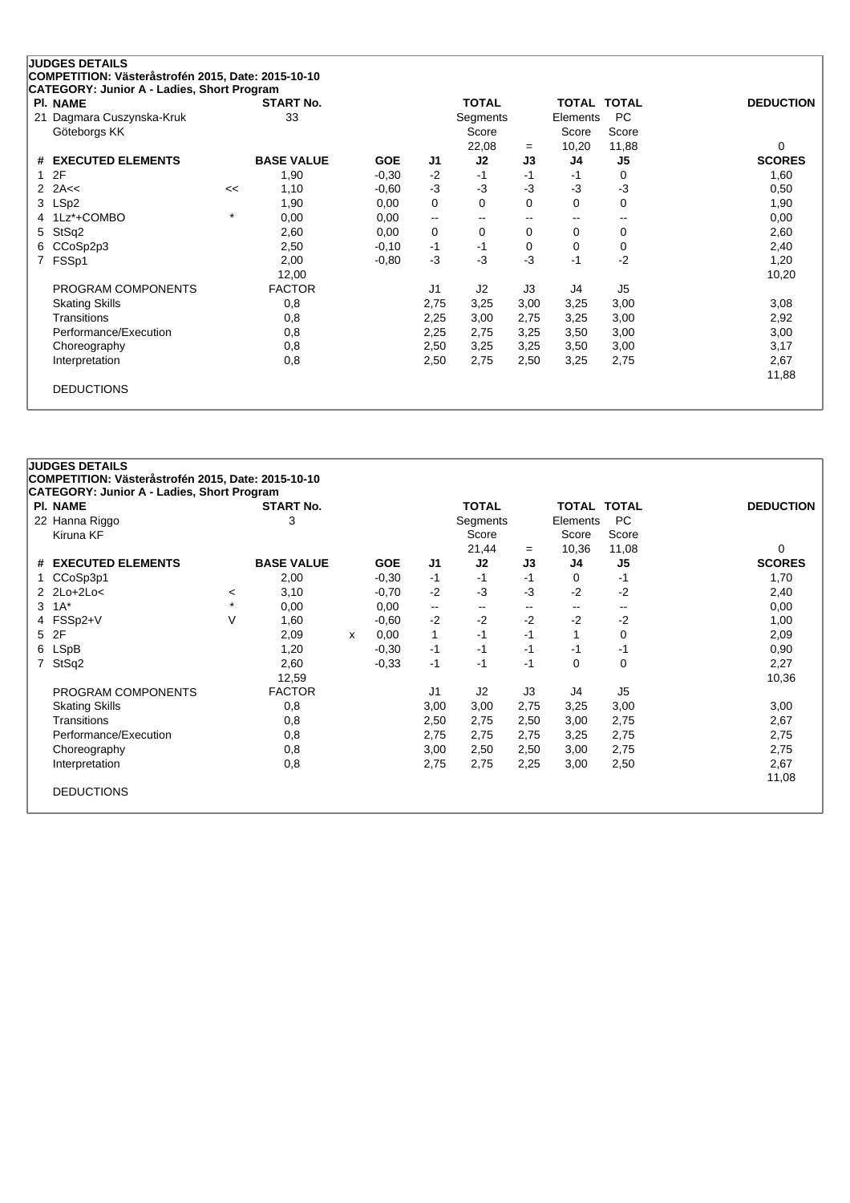| CATEGORY: Junior A - Ladies, Short Program |         |                        |            |                          |              |          |              |                |                  |
|--------------------------------------------|---------|------------------------|------------|--------------------------|--------------|----------|--------------|----------------|------------------|
| <b>PI. NAME</b>                            |         | <b>START No.</b><br>33 |            |                          | <b>TOTAL</b> |          | <b>TOTAL</b> | <b>TOTAL</b>   | <b>DEDUCTION</b> |
| Dagmara Cuszynska-Kruk<br>21               |         |                        |            |                          | Segments     |          | Elements     | <b>PC</b>      |                  |
| Göteborgs KK                               |         |                        |            |                          | Score        |          | Score        | Score          |                  |
|                                            |         |                        |            |                          | 22,08        | $=$      | 10,20        | 11,88          | $\Omega$         |
| <b>EXECUTED ELEMENTS</b><br>#              |         | <b>BASE VALUE</b>      | <b>GOE</b> | J1                       | J2           | J3       | J4           | J <sub>5</sub> | <b>SCORES</b>    |
| 2F                                         |         | 1,90                   | $-0,30$    | $-2$                     | $-1$         | -1       | -1           | 0              | 1,60             |
| 2A<<<br>2                                  | <<      | 1,10                   | $-0.60$    | $-3$                     | $-3$         | $-3$     | $-3$         | $-3$           | 0,50             |
| LSp2<br>3                                  |         | 1,90                   | 0,00       | 0                        | 0            | $\Omega$ | 0            | $\mathbf 0$    | 1,90             |
| 1Lz*+COMBO<br>4                            | $\star$ | 0,00                   | 0,00       | $\overline{\phantom{m}}$ | $- -$        | --       | $- -$        | --             | 0,00             |
| StSq2<br>5                                 |         | 2,60                   | 0,00       | 0                        | 0            | 0        | 0            | 0              | 2,60             |
| CCoSp2p3<br>6                              |         | 2,50                   | $-0,10$    | $-1$                     | $-1$         | 0        | 0            | 0              | 2,40             |
| FSSp1<br>7                                 |         | 2,00                   | $-0.80$    | $-3$                     | $-3$         | $-3$     | $-1$         | $-2$           | 1,20             |
|                                            |         | 12,00                  |            |                          |              |          |              |                | 10,20            |
| PROGRAM COMPONENTS                         |         | <b>FACTOR</b>          |            | J <sub>1</sub>           | J2           | J3       | J4           | J <sub>5</sub> |                  |
| <b>Skating Skills</b>                      |         | 0,8                    |            | 2,75                     | 3,25         | 3,00     | 3,25         | 3,00           | 3,08             |
| Transitions                                |         | 0,8                    |            | 2,25                     | 3,00         | 2,75     | 3,25         | 3,00           | 2,92             |
| Performance/Execution                      |         | 0,8                    |            | 2,25                     | 2,75         | 3,25     | 3,50         | 3,00           | 3,00             |
| Choreography                               |         | 0,8                    |            | 2,50                     | 3,25         | 3,25     | 3,50         | 3,00           | 3,17             |
| Interpretation                             |         | 0,8                    |            | 2,50                     | 2,75         | 2,50     | 3,25         | 2,75           | 2,67             |
|                                            |         |                        |            |                          |              |          |              |                | 11,88            |

# **JUDGES DETAILS COMPETITION: Västeråstrofén 2015, Date: 2015-10-10 CATEGORY: Junior A - Ladies, Short Program Pl. NAME START No. TOTAL TOTAL TOTAL DEDUCTION** 22 Hanna Riggo 3 Segments Elements PC Kiruna KF Score Score Score 21,44 <sup>=</sup> 10,36 11,08 0 **# EXECUTED ELEMENTS BASE VALUE GOE J1 J2 J3 J4 J5 SCORES** 1 CCoSp3p1 2,00 -0,30 -1 -1 -1 0 -1 1,70 2 2Lo+2Lo< <sup>&</sup>lt; 3,10 -0,70 -2 -3 -3 -2 -2 2,40  $3 \t1A^*$   $\t*$   $0,00$   $0,00$   $\t-\t...$   $\t-\t...$   $\t-\t...$   $0,00$ 4 FSSp2+V V 1,60 -0,60 -2 -2 -2 -2 -2 1,00 5 2F 2,09 <sup>x</sup> 0,00 1 -1 -1 1 0 2,09 6 LSpB 1,20 -0,30 -1 -1 -1 -1 -1 0,90 7 StSq2 2,60 -0,33 -1 -1 -1 0 0 2,27 12,59 10,36 PROGRAM COMPONENTS FACTOR J1 J2 J3 J4 J5 Skating Skills 0,8 3,00 3,00 2,75 3,25 3,00 3,00 Transitions 0,8 2,50 2,75 2,50 3,00 2,75 2,67 Performance/Execution 0,8 0,8 2,75 2,75 2,75 3,25 2,75 2,75 2,75 Choreography 0,8 3,00 2,50 2,50 3,00 2,75 2,75 Interpretation 0,8 2,75 2,75 2,25 3,00 2,50 2,67 11,08 DEDUCTIONS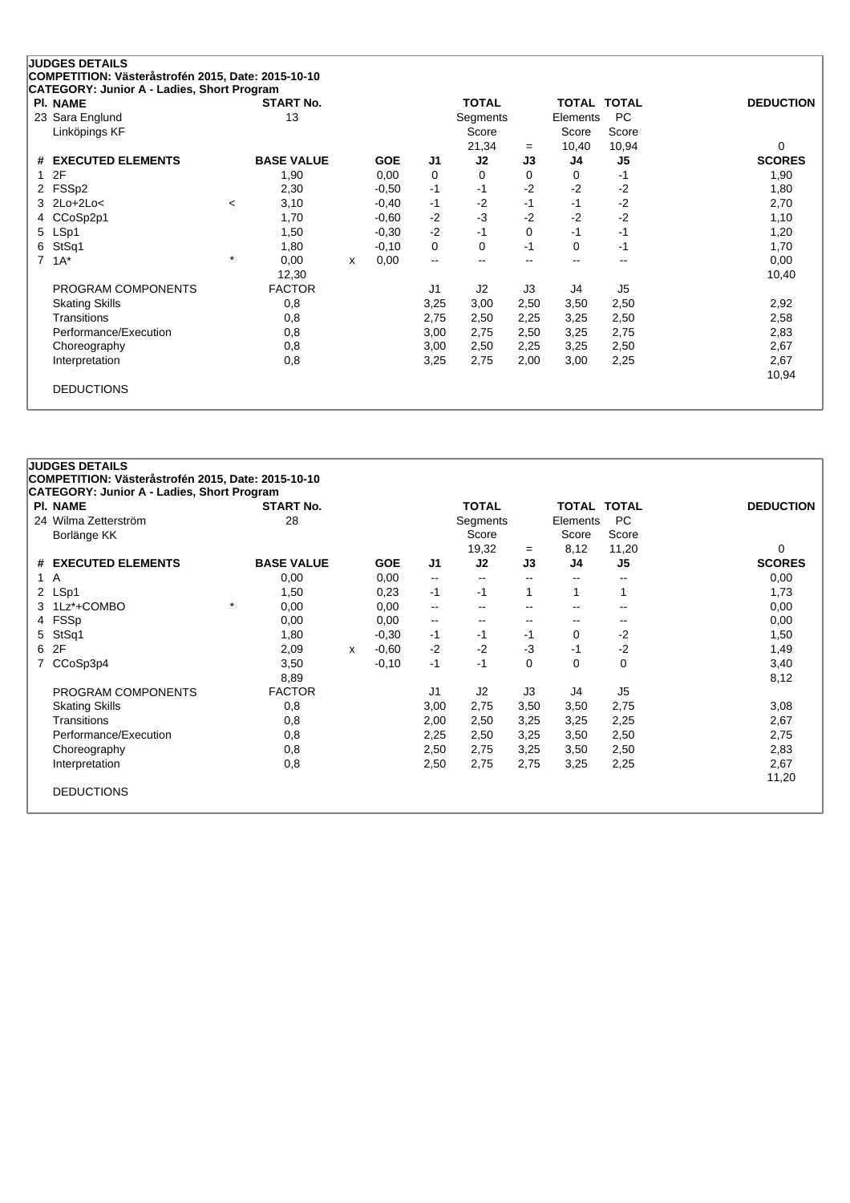| <b>PI. NAME</b>               |          | <b>START No.</b>  |              |            |                          | <b>TOTAL</b> |      |                          | TOTAL TOTAL              | <b>DEDUCTION</b> |      |      |
|-------------------------------|----------|-------------------|--------------|------------|--------------------------|--------------|------|--------------------------|--------------------------|------------------|------|------|
| 23 Sara Englund               |          | 13                |              |            |                          | Segments     |      | Elements                 | <b>PC</b>                |                  |      |      |
| Linköpings KF                 |          |                   |              |            |                          | Score        |      | Score                    | Score                    |                  |      |      |
|                               |          |                   |              |            |                          | 21,34        | $=$  | 10,40                    | 10,94                    | 0                |      |      |
| <b>EXECUTED ELEMENTS</b><br># |          | <b>BASE VALUE</b> |              | <b>GOE</b> | J1                       | J2           | J3   | J4                       | J <sub>5</sub>           | <b>SCORES</b>    |      |      |
| 2F<br>1                       |          | 1,90              |              | 0,00       | 0                        | 0            | 0    | 0                        | -1                       | 1,90             |      |      |
| FSSp2<br>2                    |          | 2,30              |              | $-0.50$    | $-1$                     | -1           | $-2$ | $-2$                     | -2                       | 1,80             |      |      |
| $2Lo+2Lo<$<br>3               | $\,<\,$  | 3,10              |              | $-0,40$    | $-1$                     | $-2$         | $-1$ | $-1$                     | $-2$                     | 2,70             |      |      |
| CCoSp2p1<br>4                 |          | 1,70              |              | $-0.60$    | $-2$                     | $-3$         | $-2$ | $-2$                     | $-2$                     | 1,10             |      |      |
| LSp1<br>5                     |          | 1,50              |              | $-0,30$    | $-2$                     | $-1$         | 0    | $-1$                     | $-1$                     | 1,20             |      |      |
| StSq1<br>6                    |          | 1,80              |              | $-0,10$    | 0                        | $\Omega$     | $-1$ | 0                        | $-1$                     | 1,70             |      |      |
| $1A^*$<br>7                   | $^\star$ | 0,00              | $\mathsf{x}$ | 0,00       | $\overline{\phantom{a}}$ | --           | --   | $\overline{\phantom{m}}$ | $\overline{\phantom{a}}$ | 0,00             |      |      |
|                               |          | 12,30             |              |            |                          |              |      |                          |                          | 10,40            |      |      |
| PROGRAM COMPONENTS            |          | <b>FACTOR</b>     |              |            | J1                       | J2           | J3   | J4                       | J <sub>5</sub>           |                  |      |      |
| <b>Skating Skills</b>         |          | 0,8               |              |            | 3,25                     | 3,00         | 2,50 | 3,50                     | 2,50                     | 2,92             |      |      |
| Transitions                   |          | 0,8               |              |            |                          |              | 2,75 | 2,50                     | 2,25                     | 3,25             | 2,50 | 2,58 |
| Performance/Execution         |          | 0,8               |              |            | 3,00                     | 2,75         | 2,50 | 3,25                     | 2,75                     | 2,83             |      |      |
| Choreography                  |          | 0,8               |              |            | 3,00                     | 2,50         | 2,25 | 3,25                     | 2,50                     | 2,67             |      |      |
| Interpretation                |          | 0,8               |              |            | 3,25                     | 2,75         | 2,00 | 3,00                     | 2,25                     | 2,67             |      |      |
|                               |          |                   |              |            |                          |              |      |                          |                          | 10,94            |      |      |

| <b>PI. NAME</b>       | <b>START No.</b>  |   |            |                          | <b>TOTAL</b>             |                          | TOTAL TOTAL              |                          | <b>DEDUCTION</b> |
|-----------------------|-------------------|---|------------|--------------------------|--------------------------|--------------------------|--------------------------|--------------------------|------------------|
| 24 Wilma Zetterström  | 28                |   |            |                          | Segments                 |                          | Elements                 | <b>PC</b>                |                  |
| Borlänge KK           |                   |   |            |                          |                          |                          | Score                    | Score                    |                  |
|                       |                   |   |            |                          | 19,32                    | $=$                      | 8,12                     | 11,20                    | 0                |
| # EXECUTED ELEMENTS   | <b>BASE VALUE</b> |   | <b>GOE</b> | J <sub>1</sub>           | J2                       | J3                       | J4                       | J5                       | <b>SCORES</b>    |
| 1 A                   | 0,00              |   | 0,00       | $\overline{\phantom{a}}$ | $\sim$                   | $\mathbf{u}$             | $\overline{\phantom{m}}$ | $\overline{\phantom{a}}$ | 0,00             |
| 2 LSp1                | 1,50              |   | 0,23       | $-1$                     | $-1$                     | 1                        | 1                        | 1                        | 1,73             |
| 3 1Lz*+COMBO          | $\star$<br>0,00   |   | 0,00       | ۰.                       | $\overline{\phantom{a}}$ | $\overline{\phantom{a}}$ |                          | --                       | 0,00             |
| FSSp<br>4             | 0,00              |   | 0,00       | ۰.                       |                          | $\overline{\phantom{a}}$ |                          | --                       | 0,00             |
| StSq1<br>5            | 1,80              |   | $-0,30$    | $-1$                     | $-1$                     | -1                       | 0                        | $-2$                     | 1,50             |
| 6 2F                  | 2,09              | X | $-0.60$    | $-2$                     | $-2$                     | $-3$                     | $-1$                     | $-2$                     | 1,49             |
| CCoSp3p4              | 3,50              |   | $-0,10$    | $-1$                     | -1                       | $\Omega$                 | $\Omega$                 | 0                        | 3,40             |
|                       | 8,89              |   |            |                          |                          |                          |                          |                          | 8,12             |
| PROGRAM COMPONENTS    | <b>FACTOR</b>     |   |            | J1                       | J2                       | J3                       | J4                       | J <sub>5</sub>           |                  |
| <b>Skating Skills</b> | 0,8               |   |            | 3,00                     | 2,75                     | 3,50                     | 3,50                     | 2,75                     | 3,08             |
| Transitions           | 0,8               |   |            | 2,00                     | 2,50                     | 3,25                     | 3,25                     | 2,25                     | 2,67             |
| Performance/Execution | 0,8               |   |            | 2,25                     | 2,50                     | 3,25                     | 3,50                     | 2,50                     | 2,75             |
| Choreography          | 0,8               |   |            | 2,50                     | 2,75                     | 3,25                     | 3,50                     | 2,50                     | 2,83             |
| Interpretation        | 0,8               |   |            | 2,50                     | 2,75                     | 2,75                     | 3,25                     | 2,25                     | 2,67             |
|                       |                   |   |            |                          |                          |                          |                          |                          | 11,20            |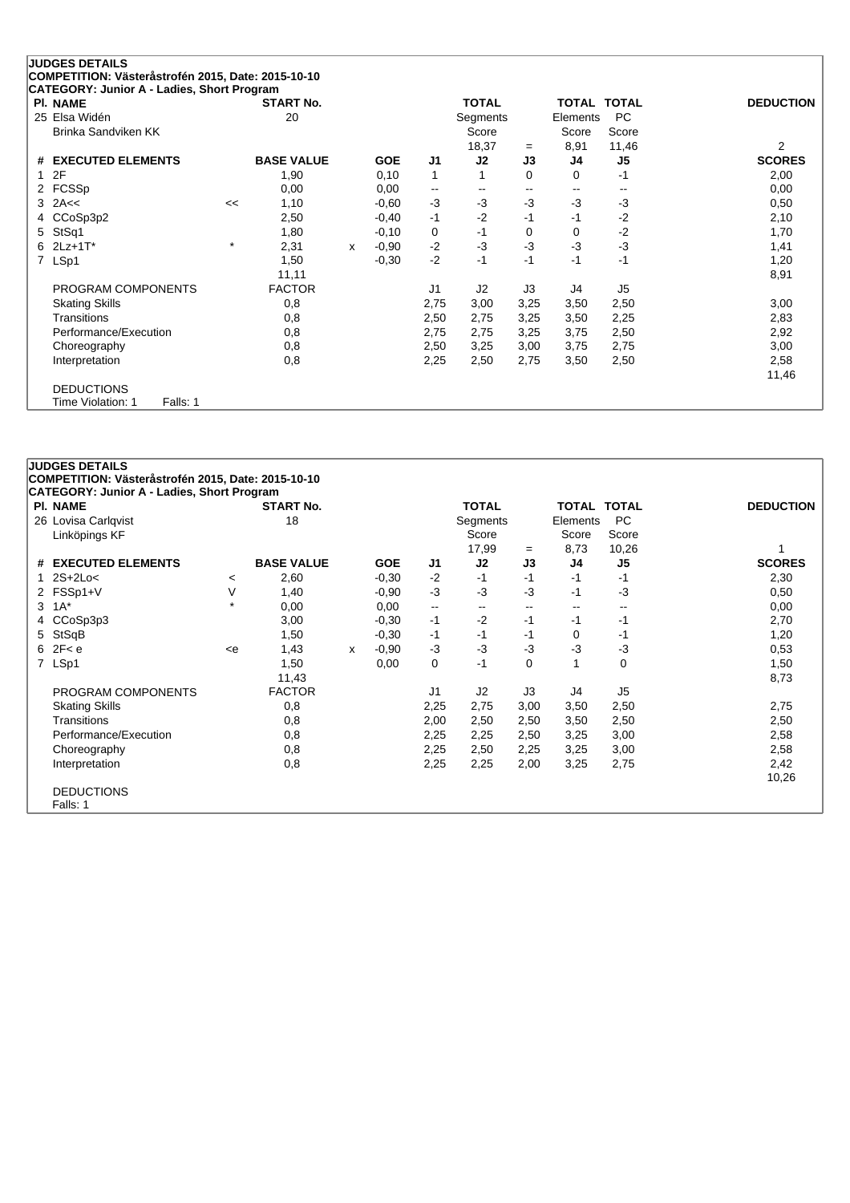|    | <b>JUDGES DETAILS</b>                                  |         |                   |   |            |                          |                |          |                          |                          |                  |
|----|--------------------------------------------------------|---------|-------------------|---|------------|--------------------------|----------------|----------|--------------------------|--------------------------|------------------|
|    | COMPETITION: Västeråstrofén 2015, Date: 2015-10-10     |         |                   |   |            |                          |                |          |                          |                          |                  |
|    | CATEGORY: Junior A - Ladies, Short Program<br>PI. NAME |         | <b>START No.</b>  |   |            |                          | <b>TOTAL</b>   |          | <b>TOTAL TOTAL</b>       |                          | <b>DEDUCTION</b> |
|    | 25 Elsa Widén                                          |         | 20                |   |            |                          | Segments       |          | Elements                 | <b>PC</b>                |                  |
|    | Brinka Sandviken KK                                    |         |                   |   |            |                          | Score          |          | Score                    | Score                    |                  |
|    |                                                        |         |                   |   |            |                          | 18,37          | $=$      | 8,91                     | 11,46                    | 2                |
| #  | <b>EXECUTED ELEMENTS</b>                               |         | <b>BASE VALUE</b> |   | <b>GOE</b> | J <sub>1</sub>           | J2             | J3       | J4                       | J5                       | <b>SCORES</b>    |
|    | 2F                                                     |         | 1,90              |   | 0,10       | $\mathbf 1$              |                | $\Omega$ | 0                        | -1                       | 2,00             |
|    | 2 FCSSp                                                |         | 0,00              |   | 0,00       | $\overline{\phantom{a}}$ | $- -$          | $- -$    | $\overline{\phantom{a}}$ | $\overline{\phantom{a}}$ | 0,00             |
|    | $3$ 2A $\lt$                                           | <<      | 1,10              |   | $-0,60$    | $-3$                     | $-3$           | $-3$     | $-3$                     | $-3$                     | 0,50             |
| 4  | CCoSp3p2                                               |         | 2,50              |   | $-0,40$    | $-1$                     | $-2$           | $-1$     | $-1$                     | $-2$                     | 2,10             |
| 5. | StSq1                                                  |         | 1,80              |   | $-0,10$    | 0                        | $-1$           | 0        | 0                        | $-2$                     | 1,70             |
|    | $62Lz+1T^*$                                            | $\star$ | 2,31              | X | $-0,90$    | $-2$                     | $-3$           | -3       | $-3$                     | $-3$                     | 1,41             |
| 7  | LSp1                                                   |         | 1,50              |   | $-0,30$    | $-2$                     | $-1$           | $-1$     | $-1$                     | $-1$                     | 1,20             |
|    |                                                        |         | 11,11             |   |            |                          |                |          |                          |                          | 8,91             |
|    | PROGRAM COMPONENTS                                     |         | <b>FACTOR</b>     |   |            | J <sub>1</sub>           | J <sub>2</sub> | J3       | J4                       | J <sub>5</sub>           |                  |
|    | <b>Skating Skills</b>                                  |         | 0,8               |   |            | 2,75                     | 3,00           | 3,25     | 3,50                     | 2,50                     | 3,00             |
|    | <b>Transitions</b>                                     |         | 0,8               |   |            | 2,50                     | 2,75           | 3,25     | 3,50                     | 2,25                     | 2,83             |
|    | Performance/Execution                                  |         | 0,8               |   |            | 2,75                     | 2,75           | 3,25     | 3,75                     | 2,50                     | 2,92             |
|    | Choreography                                           |         | 0,8               |   |            | 2,50                     | 3,25           | 3,00     | 3,75                     | 2,75                     | 3,00             |
|    | Interpretation                                         |         | 0,8               |   |            | 2,25                     | 2,50           | 2,75     | 3,50                     | 2,50                     | 2,58             |
|    |                                                        |         |                   |   |            |                          |                |          |                          |                          | 11,46            |
|    | <b>DEDUCTIONS</b>                                      |         |                   |   |            |                          |                |          |                          |                          |                  |
|    | Falls: 1<br>Time Violation: 1                          |         |                   |   |            |                          |                |          |                          |                          |                  |

### **JUDGES DETAILS COMPETITION: Västeråstrofén 2015, Date: 2015-10-10 CATEGORY: Junior A - Ladies, Short Program Pl. NAME START No. TOTAL TOTAL TOTAL DEDUCTION** 26 Lovisa Carlqvist 18 18 Segments Elements PC<br>
Linköpings KF<br>
18 Score Score Score Score Score Linköpings KF Score Score Score 17,99 <sup>=</sup> 8,73 10,26 1 **# EXECUTED ELEMENTS BASE VALUE GOE J1 J2 J3 J4 J5 SCORES** 1 2S+2Lo< <sup>&</sup>lt; 2,60 -0,30 -2 -1 -1 -1 -1 2,30 2 FSSp1+V V 1,40 -0,90 -3 -3 -3 -1 -3 0,50  $3 \t1A^*$   $\t*$   $0,00$   $0,00$   $\t-\t...$   $\t-\t...$   $\t-\t...$   $0,00$ 4 CCoSp3p3 3,00 -0,30 -1 -2 -1 -1 -1 2,70 5 StSqB 1,50 -0,30 -1 -1 -1 0 -1 1,20 6 2F< e <e 1,43 <sup>x</sup> -0,90 -3 -3 -3 -3 -3 0,53 7 LSp1 1,50 0,00 0 -1 0 1 0 1,50 11,43 8,73 PROGRAM COMPONENTS FACTOR J1 J2 J3 J4 J5 Skating Skills 0,8 2,25 2,75 3,00 3,50 2,50 2,75 Transitions 0,8 2,00 2,50 2,50 3,50 2,50 2,50 Performance/Execution 0,8 0,8 2,25 2,25 2,50 3,25 3,00 2,58 Choreography 0,8 2,25 2,50 2,25 3,25 3,00 2,58 Interpretation 0,8 2,25 2,25 2,00 3,25 2,75 2,42 10,26 DEDUCTIONS Falls: 1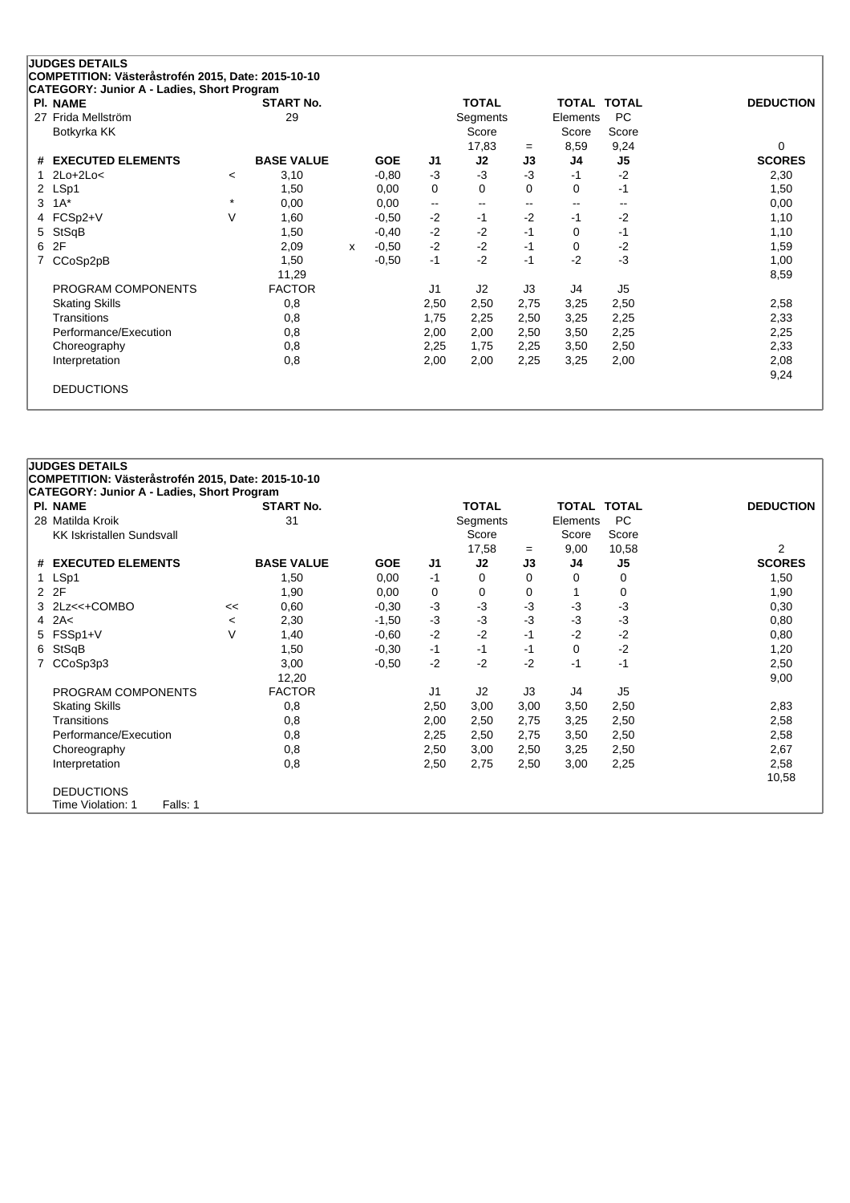| PI. NAME                      |                          | <b>START No.</b>  |   |            |                          | <b>TOTAL</b> |       | <b>TOTAL</b>  | <b>TOTAL</b>   | <b>DEDUCTION</b> |
|-------------------------------|--------------------------|-------------------|---|------------|--------------------------|--------------|-------|---------------|----------------|------------------|
| Frida Mellström<br>27         |                          | 29                |   |            |                          | Segments     |       | Elements      | <b>PC</b>      |                  |
| Botkyrka KK                   |                          |                   |   |            |                          | Score        |       | Score         | Score          |                  |
|                               |                          |                   |   |            |                          | 17,83        | $=$   | 8,59          | 9,24           | 0                |
| <b>EXECUTED ELEMENTS</b><br># |                          | <b>BASE VALUE</b> |   | <b>GOE</b> | J1                       | J2           | J3    | J4            | J5             | <b>SCORES</b>    |
| $2Lo+2Lo<$                    | $\overline{\phantom{a}}$ | 3,10              |   | $-0.80$    | $-3$                     | $-3$         | $-3$  | $-1$          | $-2$           | 2,30             |
| 2 LSp1                        |                          | 1,50              |   | 0,00       | 0                        | 0            | 0     | 0             | -1             | 1,50             |
| $1A^*$<br>3                   | $\star$                  | 0,00              |   | 0,00       | $\overline{\phantom{a}}$ | $-$          | $- -$ | $\sim$ $\sim$ | --             | 0,00             |
| FCSp2+V<br>4                  | $\vee$                   | 1,60              |   | $-0.50$    | $-2$                     | $-1$         | $-2$  | $-1$          | $-2$           | 1,10             |
| StSqB<br>5.                   |                          | 1,50              |   | $-0,40$    | $-2$                     | $-2$         | $-1$  | 0             | -1             | 1,10             |
| 2F<br>6                       |                          | 2,09              | x | $-0.50$    | $-2$                     | $-2$         | $-1$  | 0             | $-2$           | 1,59             |
| CCoSp2pB                      |                          | 1,50              |   | $-0,50$    | $-1$                     | $-2$         | $-1$  | $-2$          | $-3$           | 1,00             |
|                               |                          | 11,29             |   |            |                          |              |       |               |                | 8,59             |
| PROGRAM COMPONENTS            |                          | <b>FACTOR</b>     |   |            | J <sub>1</sub>           | J2           | J3    | J4            | J <sub>5</sub> |                  |
| <b>Skating Skills</b>         |                          | 0,8               |   |            | 2,50                     | 2,50         | 2,75  | 3,25          | 2,50           | 2,58             |
| <b>Transitions</b>            |                          | 0,8               |   |            | 1,75                     | 2,25         | 2,50  | 3,25          | 2,25           | 2,33             |
| Performance/Execution         |                          | 0,8               |   |            | 2,00                     | 2,00         | 2,50  | 3,50          | 2,25           | 2,25             |
| Choreography                  |                          | 0,8               |   |            | 2,25                     | 1,75         | 2,25  | 3,50          | 2,50           | 2,33             |
| Interpretation                |                          | 0,8               |   |            | 2,00                     | 2,00         | 2,25  | 3,25          | 2,00           | 2,08             |
|                               |                          |                   |   |            |                          |              |       |               |                | 9,24             |

| <b>JUDGES DETAILS</b><br>COMPETITION: Västeråstrofén 2015, Date: 2015-10-10<br>CATEGORY: Junior A - Ladies, Short Program |         |                   |            |                |              |          |                    |                |                  |
|---------------------------------------------------------------------------------------------------------------------------|---------|-------------------|------------|----------------|--------------|----------|--------------------|----------------|------------------|
| <b>PI. NAME</b>                                                                                                           |         | <b>START No.</b>  |            |                | <b>TOTAL</b> |          | <b>TOTAL TOTAL</b> |                | <b>DEDUCTION</b> |
| 28 Matilda Kroik                                                                                                          |         | 31                |            |                | Segments     |          | Elements           | <b>PC</b>      |                  |
| <b>KK Iskristallen Sundsvall</b>                                                                                          |         |                   |            |                | Score        |          | Score              | Score          |                  |
|                                                                                                                           |         |                   |            |                | 17,58        | $=$      | 9,00               | 10,58          | 2                |
| # EXECUTED ELEMENTS                                                                                                       |         | <b>BASE VALUE</b> | <b>GOE</b> | J1             | J2           | J3       | J4                 | J5             | <b>SCORES</b>    |
| LSp1<br>1.                                                                                                                |         | 1,50              | 0,00       | $-1$           | 0            | $\Omega$ | $\Omega$           | 0              | 1,50             |
| 2F<br>2                                                                                                                   |         | 1,90              | 0,00       | 0              | 0            | 0        |                    | 0              | 1,90             |
| 2Lz<<+COMBO<br>3                                                                                                          | <<      | 0,60              | $-0,30$    | $-3$           | $-3$         | $-3$     | $-3$               | $-3$           | 0,30             |
| 2A<<br>4                                                                                                                  | $\,<\,$ | 2,30              | $-1,50$    | $-3$           | $-3$         | $-3$     | $-3$               | $-3$           | 0,80             |
| FSSp1+V<br>5.                                                                                                             | $\vee$  | 1,40              | $-0.60$    | $-2$           | $-2$         | $-1$     | $-2$               | $-2$           | 0,80             |
| StSqB<br>6                                                                                                                |         | 1,50              | $-0,30$    | $-1$           | $-1$         | $-1$     | $\Omega$           | $-2$           | 1,20             |
| CCoSp3p3                                                                                                                  |         | 3,00              | $-0.50$    | $-2$           | $-2$         | $-2$     | $-1$               | $-1$           | 2,50             |
|                                                                                                                           |         | 12,20             |            |                |              |          |                    |                | 9,00             |
| PROGRAM COMPONENTS                                                                                                        |         | <b>FACTOR</b>     |            | J <sub>1</sub> | J2           | J3       | J4                 | J <sub>5</sub> |                  |
| <b>Skating Skills</b>                                                                                                     |         | 0,8               |            | 2,50           | 3,00         | 3,00     | 3,50               | 2,50           | 2,83             |
| Transitions                                                                                                               |         | 0,8               |            | 2,00           | 2,50         | 2,75     | 3,25               | 2,50           | 2,58             |
| Performance/Execution                                                                                                     |         | 0,8               |            | 2,25           | 2,50         | 2,75     | 3,50               | 2,50           | 2,58             |
| Choreography                                                                                                              |         | 0,8               |            | 2,50           | 3,00         | 2,50     | 3,25               | 2,50           | 2,67             |
| Interpretation                                                                                                            |         | 0,8               |            | 2,50           | 2,75         | 2,50     | 3,00               | 2,25           | 2,58             |
|                                                                                                                           |         |                   |            |                |              |          |                    |                | 10,58            |
| <b>DEDUCTIONS</b>                                                                                                         |         |                   |            |                |              |          |                    |                |                  |
| Time Violation: 1<br>Falls: 1                                                                                             |         |                   |            |                |              |          |                    |                |                  |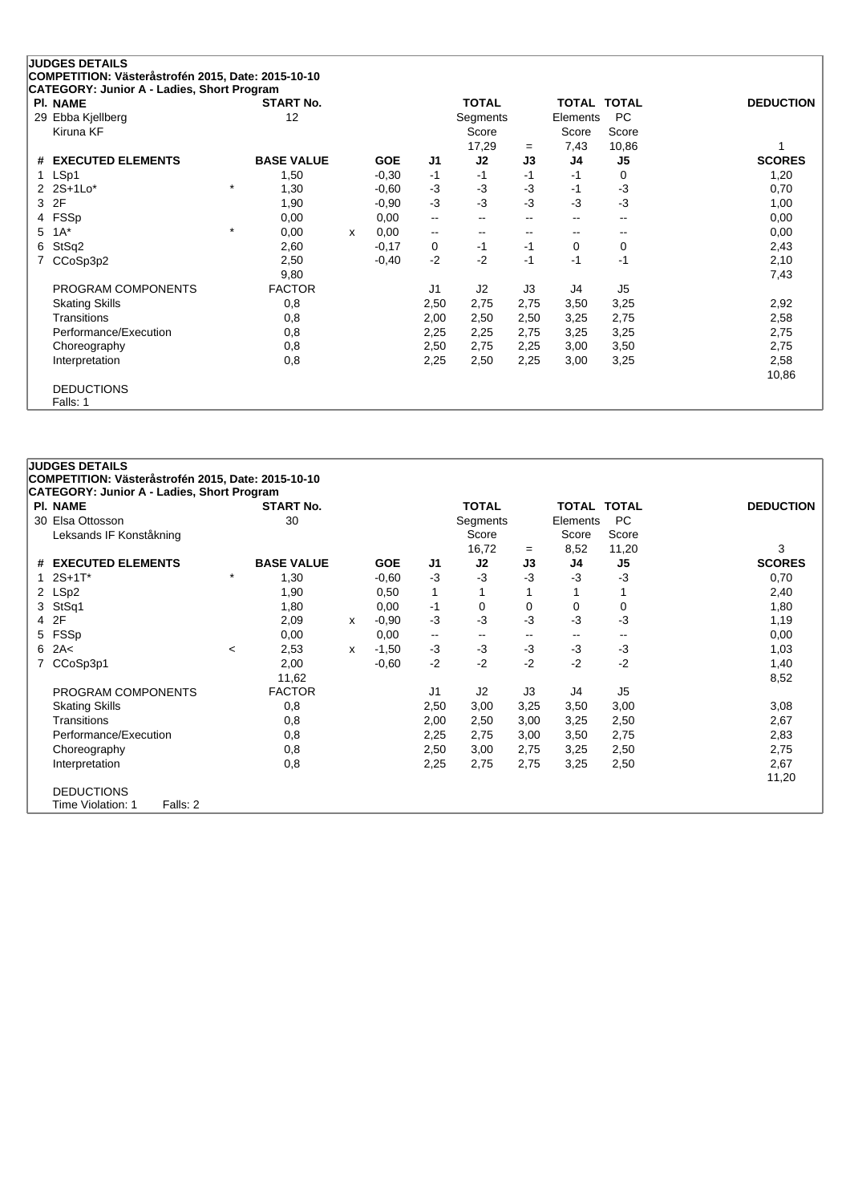| <b>JUDGES DETAILS</b><br>COMPETITION: Västeråstrofén 2015, Date: 2015-10-10 |                   |   |            |                          |              |              |                    |                |                  |
|-----------------------------------------------------------------------------|-------------------|---|------------|--------------------------|--------------|--------------|--------------------|----------------|------------------|
| CATEGORY: Junior A - Ladies, Short Program                                  |                   |   |            |                          |              |              |                    |                |                  |
| <b>PI. NAME</b>                                                             | <b>START No.</b>  |   |            |                          | <b>TOTAL</b> |              | <b>TOTAL TOTAL</b> |                | <b>DEDUCTION</b> |
| 29 Ebba Kjellberg                                                           | 12                |   |            |                          | Segments     |              | Elements           | <b>PC</b>      |                  |
| Kiruna KF                                                                   |                   |   |            |                          | Score        |              | Score              | Score          |                  |
|                                                                             |                   |   |            |                          | 17,29        | $=$          | 7,43               | 10,86          |                  |
| <b>EXECUTED ELEMENTS</b><br>#                                               | <b>BASE VALUE</b> |   | <b>GOE</b> | J <sub>1</sub>           | J2           | J3           | J4                 | J <sub>5</sub> | <b>SCORES</b>    |
| LSp1                                                                        | 1,50              |   | $-0,30$    | $-1$                     | $-1$         | $-1$         | $-1$               | 0              | 1,20             |
| 2 2S+1Lo*                                                                   | $\star$<br>1,30   |   | $-0.60$    | $-3$                     | -3           | $-3$         | $-1$               | $-3$           | 0,70             |
| 2F<br>3                                                                     | 1,90              |   | $-0,90$    | $-3$                     | $-3$         | -3           | $-3$               | $-3$           | 1,00             |
| FSSp<br>4                                                                   | 0,00              |   | 0,00       | $\overline{\phantom{a}}$ | --           | $\mathbf{u}$ | --                 | --             | 0,00             |
| $1A^*$<br>5                                                                 | $\star$<br>0,00   | x | 0,00       | $\overline{\phantom{a}}$ | --           | --           | --                 | --             | 0,00             |
| StSq2<br>6                                                                  | 2,60              |   | $-0,17$    | 0                        | $-1$         | $-1$         | $\mathbf 0$        | 0              | 2,43             |
| CCoSp3p2                                                                    | 2,50              |   | $-0,40$    | $-2$                     | $-2$         | $-1$         | $-1$               | $-1$           | 2,10             |
|                                                                             | 9,80              |   |            |                          |              |              |                    |                | 7,43             |
| PROGRAM COMPONENTS                                                          | <b>FACTOR</b>     |   |            | J1                       | J2           | J3           | J4                 | J5             |                  |
| <b>Skating Skills</b>                                                       | 0,8               |   |            | 2,50                     | 2,75         | 2,75         | 3,50               | 3,25           | 2,92             |
| Transitions                                                                 | 0,8               |   |            | 2,00                     | 2,50         | 2,50         | 3,25               | 2,75           | 2,58             |
| Performance/Execution                                                       | 0,8               |   |            | 2,25                     | 2,25         | 2,75         | 3,25               | 3,25           | 2,75             |
| Choreography                                                                | 0,8               |   |            | 2,50                     | 2,75         | 2,25         | 3,00               | 3,50           | 2,75             |
| Interpretation                                                              | 0,8               |   |            | 2,25                     | 2,50         | 2,25         | 3,00               | 3,25           | 2,58             |
|                                                                             |                   |   |            |                          |              |              |                    |                | 10,86            |
| <b>DEDUCTIONS</b>                                                           |                   |   |            |                          |              |              |                    |                |                  |
| Falls: 1                                                                    |                   |   |            |                          |              |              |                    |                |                  |

|   | <b>JUDGES DETAILS</b>                              |         |                   |   |            |      |              |                          |                          |                          |                  |
|---|----------------------------------------------------|---------|-------------------|---|------------|------|--------------|--------------------------|--------------------------|--------------------------|------------------|
|   | COMPETITION: Västeråstrofén 2015, Date: 2015-10-10 |         |                   |   |            |      |              |                          |                          |                          |                  |
|   | <b>CATEGORY: Junior A - Ladies, Short Program</b>  |         |                   |   |            |      |              |                          |                          |                          |                  |
|   | <b>PI. NAME</b>                                    |         | <b>START No.</b>  |   |            |      | <b>TOTAL</b> |                          | <b>TOTAL TOTAL</b>       |                          | <b>DEDUCTION</b> |
|   | 30 Elsa Ottosson                                   |         | 30                |   |            |      | Segments     |                          | Elements                 | <b>PC</b>                |                  |
|   | Leksands IF Konståkning                            |         |                   |   |            |      | Score        |                          | Score                    | Score                    |                  |
|   |                                                    |         |                   |   |            |      | 16,72        | $=$                      | 8,52                     | 11,20                    | 3                |
|   | # EXECUTED ELEMENTS                                |         | <b>BASE VALUE</b> |   | <b>GOE</b> | J1   | J2           | J3                       | J4                       | J <sub>5</sub>           | <b>SCORES</b>    |
|   | $2S+1T^*$                                          | $\star$ | 1,30              |   | $-0.60$    | $-3$ | -3           | -3                       | -3                       | $-3$                     | 0,70             |
|   | 2 LSp2                                             |         | 1,90              |   | 0,50       | 1    |              |                          |                          |                          | 2,40             |
| 3 | StSq1                                              |         | 1,80              |   | 0,00       | -1   | 0            | 0                        | 0                        | 0                        | 1,80             |
| 4 | 2F                                                 |         | 2,09              | x | $-0,90$    | $-3$ | -3           | -3                       | -3                       | $-3$                     | 1,19             |
| 5 | FSSp                                               |         | 0,00              |   | 0,00       | --   | $\sim$       | $\overline{\phantom{a}}$ | $\overline{\phantom{m}}$ | $\overline{\phantom{a}}$ | 0,00             |
| 6 | 2A<                                                | $\prec$ | 2,53              | X | $-1,50$    | $-3$ | $-3$         | $-3$                     | -3                       | $-3$                     | 1,03             |
|   | CCoSp3p1                                           |         | 2,00              |   | $-0,60$    | $-2$ | $-2$         | $-2$                     | $-2$                     | $-2$                     | 1,40             |
|   |                                                    |         | 11,62             |   |            |      |              |                          |                          |                          | 8,52             |
|   | PROGRAM COMPONENTS                                 |         | <b>FACTOR</b>     |   |            | J1   | J2           | J3                       | J4                       | J5                       |                  |
|   | <b>Skating Skills</b>                              |         | 0,8               |   |            | 2,50 | 3,00         | 3,25                     | 3,50                     | 3,00                     | 3,08             |
|   | Transitions                                        |         | 0,8               |   |            | 2,00 | 2,50         | 3,00                     | 3,25                     | 2,50                     | 2,67             |
|   | Performance/Execution                              |         | 0,8               |   |            | 2,25 | 2,75         | 3,00                     | 3,50                     | 2,75                     | 2,83             |
|   | Choreography                                       |         | 0,8               |   |            | 2,50 | 3,00         | 2,75                     | 3,25                     | 2,50                     | 2,75             |
|   | Interpretation                                     |         | 0,8               |   |            | 2,25 | 2,75         | 2,75                     | 3,25                     | 2,50                     | 2,67             |
|   |                                                    |         |                   |   |            |      |              |                          |                          |                          | 11,20            |
|   | <b>DEDUCTIONS</b>                                  |         |                   |   |            |      |              |                          |                          |                          |                  |
|   | Time Violation: 1<br>Falls: 2                      |         |                   |   |            |      |              |                          |                          |                          |                  |